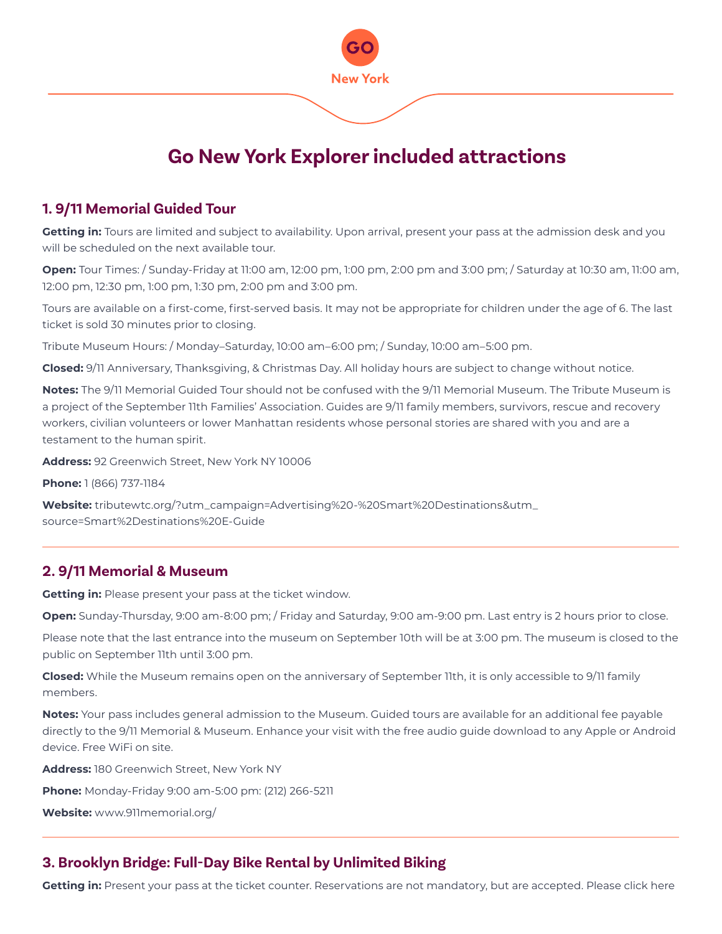

## **1. 9/11 Memorial Guided Tour**

**Getting in:** Tours are limited and subject to availability. Upon arrival, present your pass at the admission desk and you will be scheduled on the next available tour.

**Open:** Tour Times: / Sunday-Friday at 11:00 am, 12:00 pm, 1:00 pm, 2:00 pm and 3:00 pm; / Saturday at 10:30 am, 11:00 am, 12:00 pm, 12:30 pm, 1:00 pm, 1:30 pm, 2:00 pm and 3:00 pm.

Tours are available on a first-come, first-served basis. It may not be appropriate for children under the age of 6. The last ticket is sold 30 minutes prior to closing.

Tribute Museum Hours: / Monday–Saturday, 10:00 am–6:00 pm; / Sunday, 10:00 am–5:00 pm.

**Closed:** 9/11 Anniversary, Thanksgiving, & Christmas Day. All holiday hours are subject to change without notice.

**Notes:** The 9/11 Memorial Guided Tour should not be confused with the 9/11 Memorial Museum. The Tribute Museum is a project of the September 11th Families' Association. Guides are 9/11 family members, survivors, rescue and recovery workers, civilian volunteers or lower Manhattan residents whose personal stories are shared with you and are a testament to the human spirit.

**Address:** 92 Greenwich Street, New York NY 10006

**Phone:** 1 (866) 737-1184

**Website:** tributewtc.org/?utm\_campaign=Advertising%20-%20Smart%20Destinations&utm\_ source=Smart%2Destinations%20E-Guide

## **2. 9/11 Memorial & Museum**

**Getting in:** Please present your pass at the ticket window.

**Open:** Sunday-Thursday, 9:00 am-8:00 pm; / Friday and Saturday, 9:00 am-9:00 pm. Last entry is 2 hours prior to close.

Please note that the last entrance into the museum on September 10th will be at 3:00 pm. The museum is closed to the public on September 11th until 3:00 pm.

**Closed:** While the Museum remains open on the anniversary of September 11th, it is only accessible to 9/11 family members.

**Notes:** Your pass includes general admission to the Museum. Guided tours are available for an additional fee payable directly to the 9/11 Memorial & Museum. Enhance your visit with the free audio guide download to any Apple or Android device. Free WiFi on site.

**Address:** 180 Greenwich Street, New York NY

**Phone:** Monday-Friday 9:00 am-5:00 pm: (212) 266-5211

**Website:** www.911memorial.org/

# **3. Brooklyn Bridge: Full-Day Bike Rental by Unlimited Biking**

**Getting in:** Present your pass at the ticket counter. Reservations are not mandatory, but are accepted. Please click here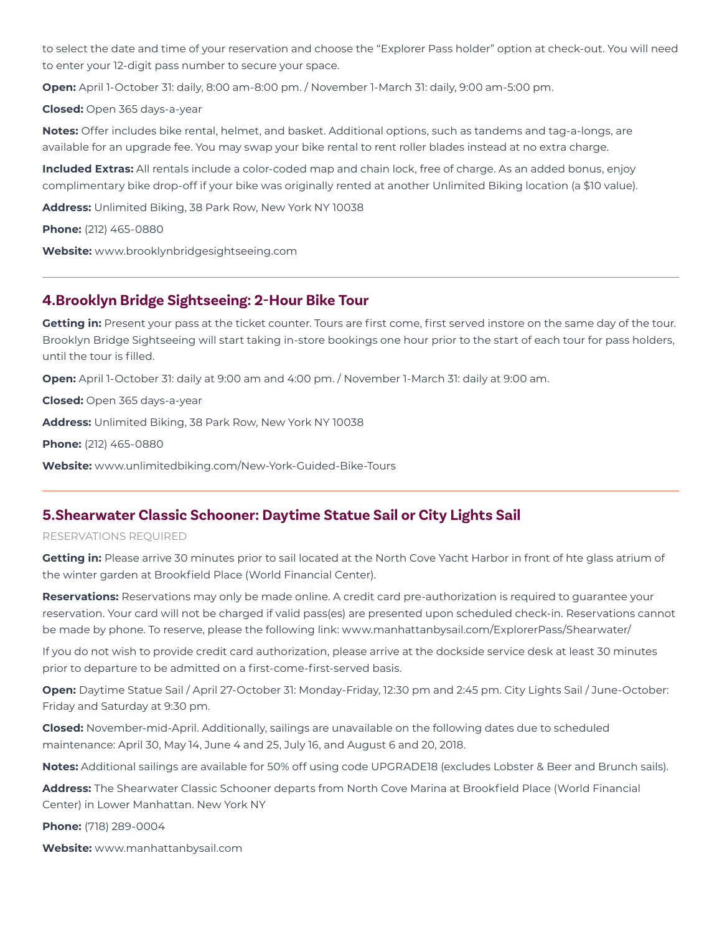to select the date and time of your reservation and choose the "Explorer Pass holder" option at check-out. You will need to enter your 12-digit pass number to secure your space.

**Open:** April 1-October 31: daily, 8:00 am-8:00 pm. / November 1-March 31: daily, 9:00 am-5:00 pm.

**Closed:** Open 365 days-a-year

**Notes:** Offer includes bike rental, helmet, and basket. Additional options, such as tandems and tag-a-longs, are available for an upgrade fee. You may swap your bike rental to rent roller blades instead at no extra charge.

**Included Extras:** All rentals include a color-coded map and chain lock, free of charge. As an added bonus, enjoy complimentary bike drop-off if your bike was originally rented at another Unlimited Biking location (a \$10 value).

**Address:** Unlimited Biking, 38 Park Row, New York NY 10038

**Phone:** (212) 465-0880

**Website:** www.brooklynbridgesightseeing.com

### **4.Brooklyn Bridge Sightseeing: 2-Hour Bike Tour**

**Getting in:** Present your pass at the ticket counter. Tours are first come, first served instore on the same day of the tour. Brooklyn Bridge Sightseeing will start taking in-store bookings one hour prior to the start of each tour for pass holders, until the tour is filled.

**Open:** April 1-October 31: daily at 9:00 am and 4:00 pm. / November 1-March 31: daily at 9:00 am.

**Closed:** Open 365 days-a-year

**Address:** Unlimited Biking, 38 Park Row, New York NY 10038

**Phone:** (212) 465-0880

**Website:** www.unlimitedbiking.com/New-York-Guided-Bike-Tours

## **5.Shearwater Classic Schooner: Daytime Statue Sail or City Lights Sail**

#### RESERVATIONS REQUIRED

**Getting in:** Please arrive 30 minutes prior to sail located at the North Cove Yacht Harbor in front of hte glass atrium of the winter garden at Brookfield Place (World Financial Center).

**Reservations:** Reservations may only be made online. A credit card pre-authorization is required to guarantee your reservation. Your card will not be charged if valid pass(es) are presented upon scheduled check-in. Reservations cannot be made by phone. To reserve, please the following link: www.manhattanbysail.com/ExplorerPass/Shearwater/

If you do not wish to provide credit card authorization, please arrive at the dockside service desk at least 30 minutes prior to departure to be admitted on a first-come-first-served basis.

**Open:** Daytime Statue Sail / April 27-October 31: Monday-Friday, 12:30 pm and 2:45 pm. City Lights Sail / June-October: Friday and Saturday at 9:30 pm.

**Closed:** November-mid-April. Additionally, sailings are unavailable on the following dates due to scheduled maintenance: April 30, May 14, June 4 and 25, July 16, and August 6 and 20, 2018.

**Notes:** Additional sailings are available for 50% off using code UPGRADE18 (excludes Lobster & Beer and Brunch sails).

**Address:** The Shearwater Classic Schooner departs from North Cove Marina at Brookfield Place (World Financial Center) in Lower Manhattan. New York NY

**Phone:** (718) 289-0004

**Website:** www.manhattanbysail.com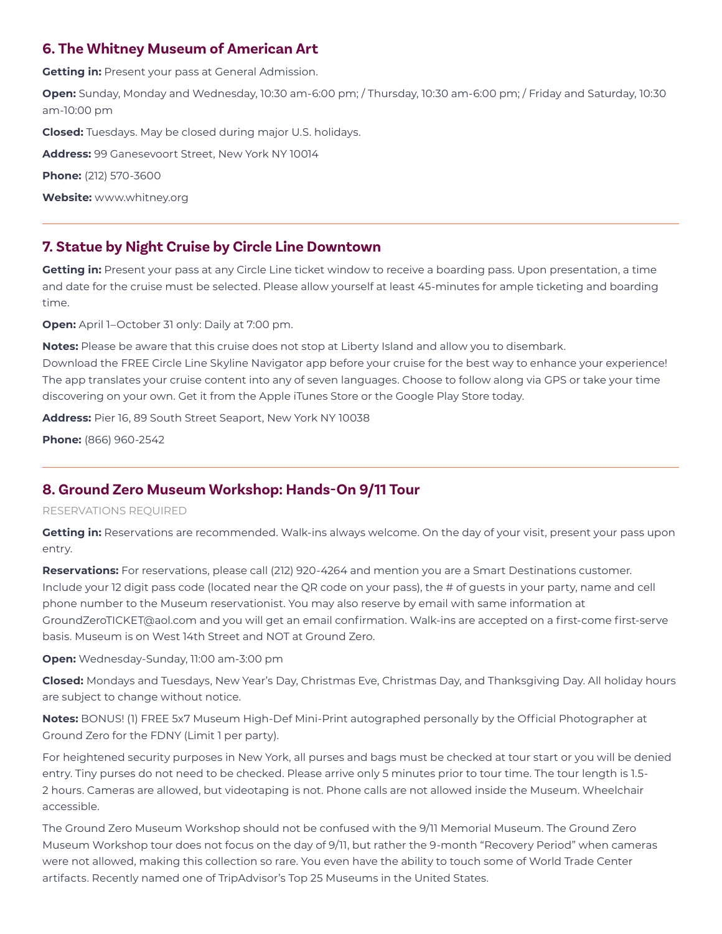## **6. The Whitney Museum of American Art**

**Getting in:** Present your pass at General Admission.

**Open:** Sunday, Monday and Wednesday, 10:30 am-6:00 pm; / Thursday, 10:30 am-6:00 pm; / Friday and Saturday, 10:30 am-10:00 pm

**Closed:** Tuesdays. May be closed during major U.S. holidays.

**Address:** 99 Ganesevoort Street, New York NY 10014

**Phone:** (212) 570-3600

**Website:** www.whitney.org

## **7. Statue by Night Cruise by Circle Line Downtown**

**Getting in:** Present your pass at any Circle Line ticket window to receive a boarding pass. Upon presentation, a time and date for the cruise must be selected. Please allow yourself at least 45-minutes for ample ticketing and boarding time.

**Open:** April 1–October 31 only: Daily at 7:00 pm.

**Notes:** Please be aware that this cruise does not stop at Liberty Island and allow you to disembark.

Download the FREE Circle Line Skyline Navigator app before your cruise for the best way to enhance your experience! The app translates your cruise content into any of seven languages. Choose to follow along via GPS or take your time discovering on your own. Get it from the Apple iTunes Store or the Google Play Store today.

**Address:** Pier 16, 89 South Street Seaport, New York NY 10038

**Phone:** (866) 960-2542

# **8. Ground Zero Museum Workshop: Hands-On 9/11 Tour**

### RESERVATIONS REQUIRED

**Getting in:** Reservations are recommended. Walk-ins always welcome. On the day of your visit, present your pass upon entry.

**Reservations:** For reservations, please call (212) 920-4264 and mention you are a Smart Destinations customer. Include your 12 digit pass code (located near the QR code on your pass), the # of guests in your party, name and cell phone number to the Museum reservationist. You may also reserve by email with same information at GroundZeroTICKET@aol.com and you will get an email confirmation. Walk-ins are accepted on a first-come first-serve basis. Museum is on West 14th Street and NOT at Ground Zero.

**Open:** Wednesday-Sunday, 11:00 am-3:00 pm

**Closed:** Mondays and Tuesdays, New Year's Day, Christmas Eve, Christmas Day, and Thanksgiving Day. All holiday hours are subject to change without notice.

**Notes:** BONUS! (1) FREE 5x7 Museum High-Def Mini-Print autographed personally by the Official Photographer at Ground Zero for the FDNY (Limit 1 per party).

For heightened security purposes in New York, all purses and bags must be checked at tour start or you will be denied entry. Tiny purses do not need to be checked. Please arrive only 5 minutes prior to tour time. The tour length is 1.5- 2 hours. Cameras are allowed, but videotaping is not. Phone calls are not allowed inside the Museum. Wheelchair accessible.

The Ground Zero Museum Workshop should not be confused with the 9/11 Memorial Museum. The Ground Zero Museum Workshop tour does not focus on the day of 9/11, but rather the 9-month "Recovery Period" when cameras were not allowed, making this collection so rare. You even have the ability to touch some of World Trade Center artifacts. Recently named one of TripAdvisor's Top 25 Museums in the United States.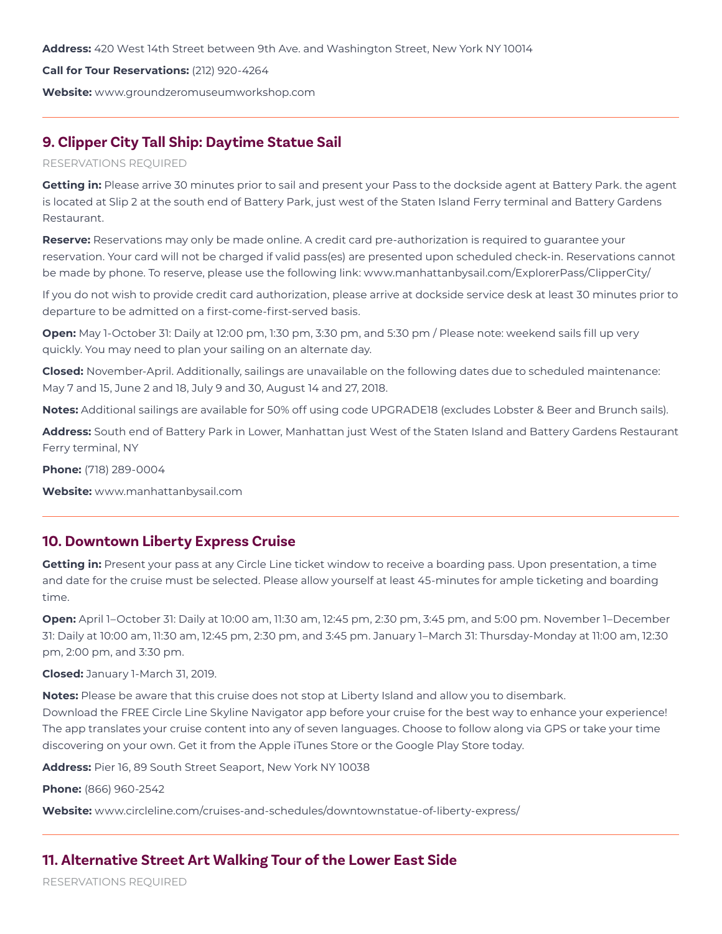**Address:** 420 West 14th Street between 9th Ave. and Washington Street, New York NY 10014

#### **Call for Tour Reservations:** (212) 920-4264

**Website:** www.groundzeromuseumworkshop.com

## **9. Clipper City Tall Ship: Daytime Statue Sail**

### RESERVATIONS REQUIRED

**Getting in:** Please arrive 30 minutes prior to sail and present your Pass to the dockside agent at Battery Park. the agent is located at Slip 2 at the south end of Battery Park, just west of the Staten Island Ferry terminal and Battery Gardens Restaurant.

**Reserve:** Reservations may only be made online. A credit card pre-authorization is required to guarantee your reservation. Your card will not be charged if valid pass(es) are presented upon scheduled check-in. Reservations cannot be made by phone. To reserve, please use the following link: www.manhattanbysail.com/ExplorerPass/ClipperCity/

If you do not wish to provide credit card authorization, please arrive at dockside service desk at least 30 minutes prior to departure to be admitted on a first-come-first-served basis.

**Open:** May 1-October 31: Daily at 12:00 pm, 1:30 pm, 3:30 pm, and 5:30 pm / Please note: weekend sails fill up very quickly. You may need to plan your sailing on an alternate day.

**Closed:** November-April. Additionally, sailings are unavailable on the following dates due to scheduled maintenance: May 7 and 15, June 2 and 18, July 9 and 30, August 14 and 27, 2018.

**Notes:** Additional sailings are available for 50% off using code UPGRADE18 (excludes Lobster & Beer and Brunch sails).

**Address:** South end of Battery Park in Lower, Manhattan just West of the Staten Island and Battery Gardens Restaurant Ferry terminal, NY

**Phone:** (718) 289-0004

**Website:** www.manhattanbysail.com

### **10. Downtown Liberty Express Cruise**

**Getting in:** Present your pass at any Circle Line ticket window to receive a boarding pass. Upon presentation, a time and date for the cruise must be selected. Please allow yourself at least 45-minutes for ample ticketing and boarding time.

**Open:** April 1–October 31: Daily at 10:00 am, 11:30 am, 12:45 pm, 2:30 pm, 3:45 pm, and 5:00 pm. November 1–December 31: Daily at 10:00 am, 11:30 am, 12:45 pm, 2:30 pm, and 3:45 pm. January 1–March 31: Thursday-Monday at 11:00 am, 12:30 pm, 2:00 pm, and 3:30 pm.

**Closed:** January 1-March 31, 2019.

**Notes:** Please be aware that this cruise does not stop at Liberty Island and allow you to disembark.

Download the FREE Circle Line Skyline Navigator app before your cruise for the best way to enhance your experience! The app translates your cruise content into any of seven languages. Choose to follow along via GPS or take your time discovering on your own. Get it from the Apple iTunes Store or the Google Play Store today.

**Address:** Pier 16, 89 South Street Seaport, New York NY 10038

**Phone:** (866) 960-2542

**Website:** www.circleline.com/cruises-and-schedules/downtownstatue-of-liberty-express/

## **11. Alternative Street Art Walking Tour of the Lower East Side**

RESERVATIONS REQUIRED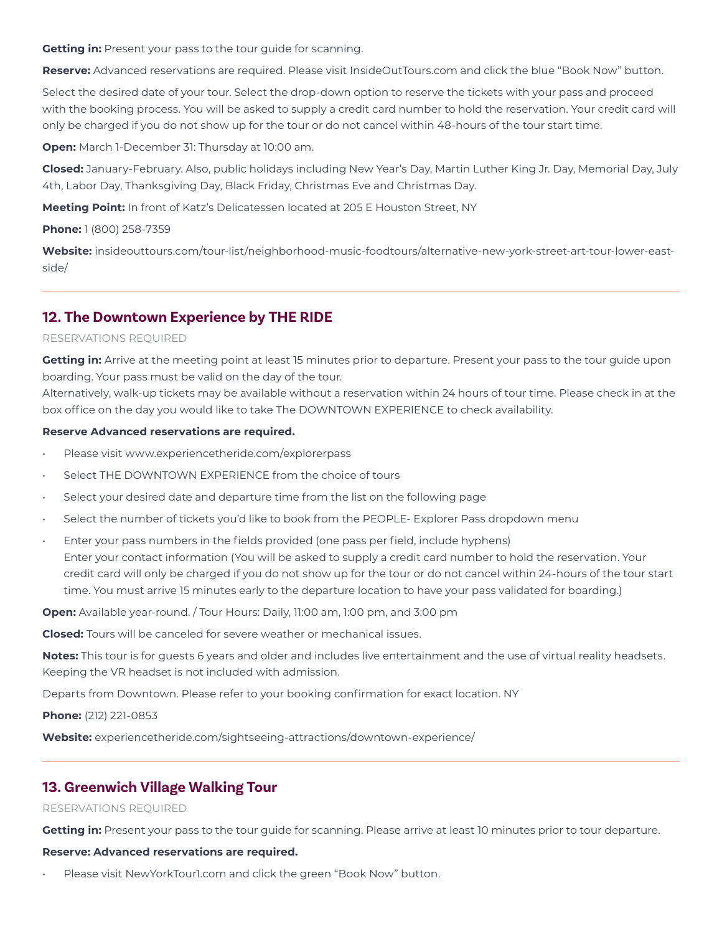**Getting in:** Present your pass to the tour guide for scanning.

**Reserve:** Advanced reservations are required. Please visit InsideOutTours.com and click the blue "Book Now" button.

Select the desired date of your tour. Select the drop-down option to reserve the tickets with your pass and proceed with the booking process. You will be asked to supply a credit card number to hold the reservation. Your credit card will only be charged if you do not show up for the tour or do not cancel within 48-hours of the tour start time.

**Open:** March 1-December 31: Thursday at 10:00 am.

**Closed:** January-February. Also, public holidays including New Year's Day, Martin Luther King Jr. Day, Memorial Day, July 4th, Labor Day, Thanksgiving Day, Black Friday, Christmas Eve and Christmas Day.

**Meeting Point:** In front of Katz's Delicatessen located at 205 E Houston Street, NY

### **Phone:** 1 (800) 258-7359

**Website:** insideouttours.com/tour-list/neighborhood-music-foodtours/alternative-new-york-street-art-tour-lower-eastside/

# **12. The Downtown Experience by THE RIDE**

### RESERVATIONS REQUIRED

**Getting in:** Arrive at the meeting point at least 15 minutes prior to departure. Present your pass to the tour guide upon boarding. Your pass must be valid on the day of the tour.

Alternatively, walk-up tickets may be available without a reservation within 24 hours of tour time. Please check in at the box office on the day you would like to take The DOWNTOWN EXPERIENCE to check availability.

### **Reserve Advanced reservations are required.**

- Please visit www.experiencetheride.com/explorerpass
- Select THE DOWNTOWN EXPERIENCE from the choice of tours
- Select your desired date and departure time from the list on the following page
- Select the number of tickets you'd like to book from the PEOPLE- Explorer Pass dropdown menu
- Enter your pass numbers in the fields provided (one pass per field, include hyphens) Enter your contact information (You will be asked to supply a credit card number to hold the reservation. Your credit card will only be charged if you do not show up for the tour or do not cancel within 24-hours of the tour start time. You must arrive 15 minutes early to the departure location to have your pass validated for boarding.)

**Open:** Available year-round. / Tour Hours: Daily, 11:00 am, 1:00 pm, and 3:00 pm

**Closed:** Tours will be canceled for severe weather or mechanical issues.

**Notes:** This tour is for guests 6 years and older and includes live entertainment and the use of virtual reality headsets. Keeping the VR headset is not included with admission.

Departs from Downtown. Please refer to your booking confirmation for exact location. NY

**Phone:** (212) 221-0853

**Website:** experiencetheride.com/sightseeing-attractions/downtown-experience/

## **13. Greenwich Village Walking Tour**

### RESERVATIONS REQUIRED

**Getting in:** Present your pass to the tour guide for scanning. Please arrive at least 10 minutes prior to tour departure.

### **Reserve: Advanced reservations are required.**

Please visit NewYorkTour1.com and click the green "Book Now" button.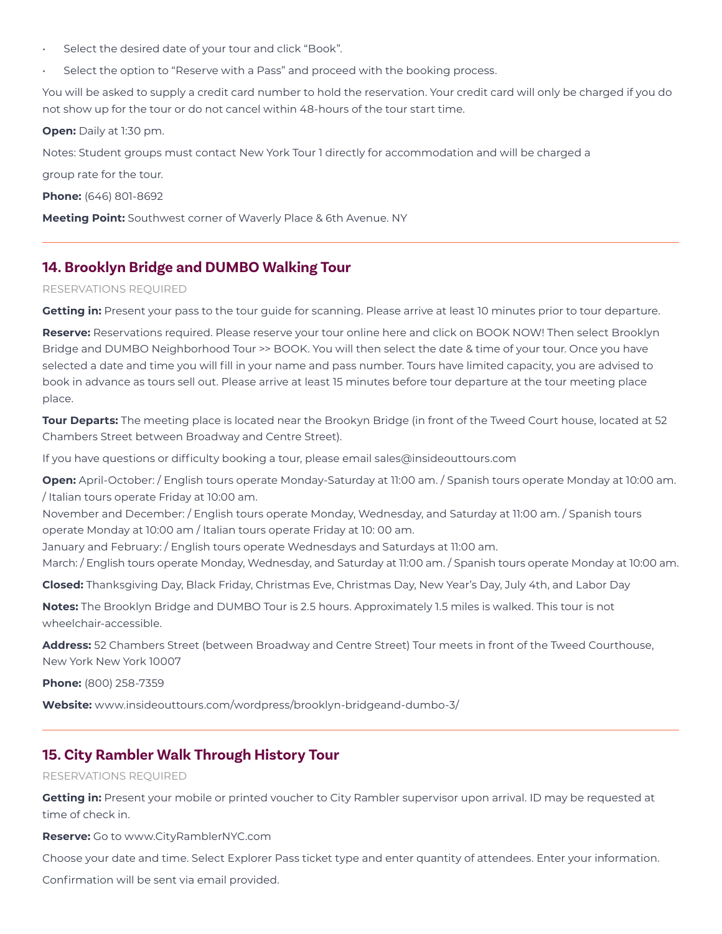- Select the desired date of your tour and click "Book".
- Select the option to "Reserve with a Pass" and proceed with the booking process.

You will be asked to supply a credit card number to hold the reservation. Your credit card will only be charged if you do not show up for the tour or do not cancel within 48-hours of the tour start time.

**Open:** Daily at 1:30 pm.

Notes: Student groups must contact New York Tour 1 directly for accommodation and will be charged a

group rate for the tour.

**Phone:** (646) 801-8692

**Meeting Point:** Southwest corner of Waverly Place & 6th Avenue. NY

## **14. Brooklyn Bridge and DUMBO Walking Tour**

#### RESERVATIONS REQUIRED

**Getting in:** Present your pass to the tour guide for scanning. Please arrive at least 10 minutes prior to tour departure.

**Reserve:** Reservations required. Please reserve your tour online here and click on BOOK NOW! Then select Brooklyn Bridge and DUMBO Neighborhood Tour >> BOOK. You will then select the date & time of your tour. Once you have selected a date and time you will fill in your name and pass number. Tours have limited capacity, you are advised to book in advance as tours sell out. Please arrive at least 15 minutes before tour departure at the tour meeting place place.

**Tour Departs:** The meeting place is located near the Brookyn Bridge (in front of the Tweed Court house, located at 52 Chambers Street between Broadway and Centre Street).

If you have questions or difficulty booking a tour, please email sales@insideouttours.com

**Open:** April-October: / English tours operate Monday-Saturday at 11:00 am. / Spanish tours operate Monday at 10:00 am. / Italian tours operate Friday at 10:00 am.

November and December: / English tours operate Monday, Wednesday, and Saturday at 11:00 am. / Spanish tours operate Monday at 10:00 am / Italian tours operate Friday at 10: 00 am.

January and February: / English tours operate Wednesdays and Saturdays at 11:00 am.

March: / English tours operate Monday, Wednesday, and Saturday at 11:00 am. / Spanish tours operate Monday at 10:00 am.

**Closed:** Thanksgiving Day, Black Friday, Christmas Eve, Christmas Day, New Year's Day, July 4th, and Labor Day

**Notes:** The Brooklyn Bridge and DUMBO Tour is 2.5 hours. Approximately 1.5 miles is walked. This tour is not wheelchair-accessible.

**Address:** 52 Chambers Street (between Broadway and Centre Street) Tour meets in front of the Tweed Courthouse, New York New York 10007

**Phone:** (800) 258-7359

**Website:** www.insideouttours.com/wordpress/brooklyn-bridgeand-dumbo-3/

## **15. City Rambler Walk Through History Tour**

### RESERVATIONS REQUIRED

**Getting in:** Present your mobile or printed voucher to City Rambler supervisor upon arrival. ID may be requested at time of check in.

**Reserve:** Go to www.CityRamblerNYC.com

Choose your date and time. Select Explorer Pass ticket type and enter quantity of attendees. Enter your information.

Confirmation will be sent via email provided.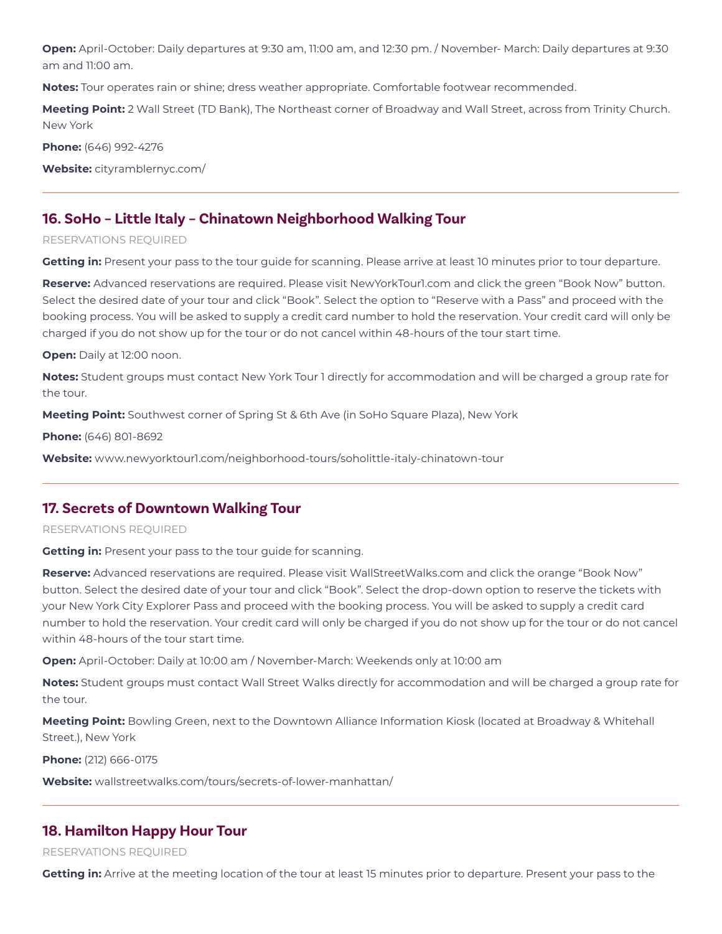**Open:** April-October: Daily departures at 9:30 am, 11:00 am, and 12:30 pm. / November- March: Daily departures at 9:30 am and 11:00 am.

**Notes:** Tour operates rain or shine; dress weather appropriate. Comfortable footwear recommended.

**Meeting Point:** 2 Wall Street (TD Bank), The Northeast corner of Broadway and Wall Street, across from Trinity Church. New York

**Phone:** (646) 992-4276

**Website:** cityramblernyc.com/

### **16. SoHo – Little Italy – Chinatown Neighborhood Walking Tour**

#### RESERVATIONS REQUIRED

**Getting in:** Present your pass to the tour guide for scanning. Please arrive at least 10 minutes prior to tour departure.

**Reserve:** Advanced reservations are required. Please visit NewYorkTour1.com and click the green "Book Now" button. Select the desired date of your tour and click "Book". Select the option to "Reserve with a Pass" and proceed with the booking process. You will be asked to supply a credit card number to hold the reservation. Your credit card will only be charged if you do not show up for the tour or do not cancel within 48-hours of the tour start time.

**Open:** Daily at 12:00 noon.

**Notes:** Student groups must contact New York Tour 1 directly for accommodation and will be charged a group rate for the tour.

**Meeting Point:** Southwest corner of Spring St & 6th Ave (in SoHo Square Plaza), New York

**Phone:** (646) 801-8692

**Website:** www.newyorktour1.com/neighborhood-tours/soholittle-italy-chinatown-tour

### **17. Secrets of Downtown Walking Tour**

#### RESERVATIONS REQUIRED

**Getting in:** Present your pass to the tour guide for scanning.

**Reserve:** Advanced reservations are required. Please visit WallStreetWalks.com and click the orange "Book Now" button. Select the desired date of your tour and click "Book". Select the drop-down option to reserve the tickets with your New York City Explorer Pass and proceed with the booking process. You will be asked to supply a credit card number to hold the reservation. Your credit card will only be charged if you do not show up for the tour or do not cancel within 48-hours of the tour start time.

**Open:** April-October: Daily at 10:00 am / November-March: Weekends only at 10:00 am

**Notes:** Student groups must contact Wall Street Walks directly for accommodation and will be charged a group rate for the tour.

**Meeting Point:** Bowling Green, next to the Downtown Alliance Information Kiosk (located at Broadway & Whitehall Street.), New York

**Phone:** (212) 666-0175

**Website:** wallstreetwalks.com/tours/secrets-of-lower-manhattan/

### **18. Hamilton Happy Hour Tour**

RESERVATIONS REQUIRED

**Getting in:** Arrive at the meeting location of the tour at least 15 minutes prior to departure. Present your pass to the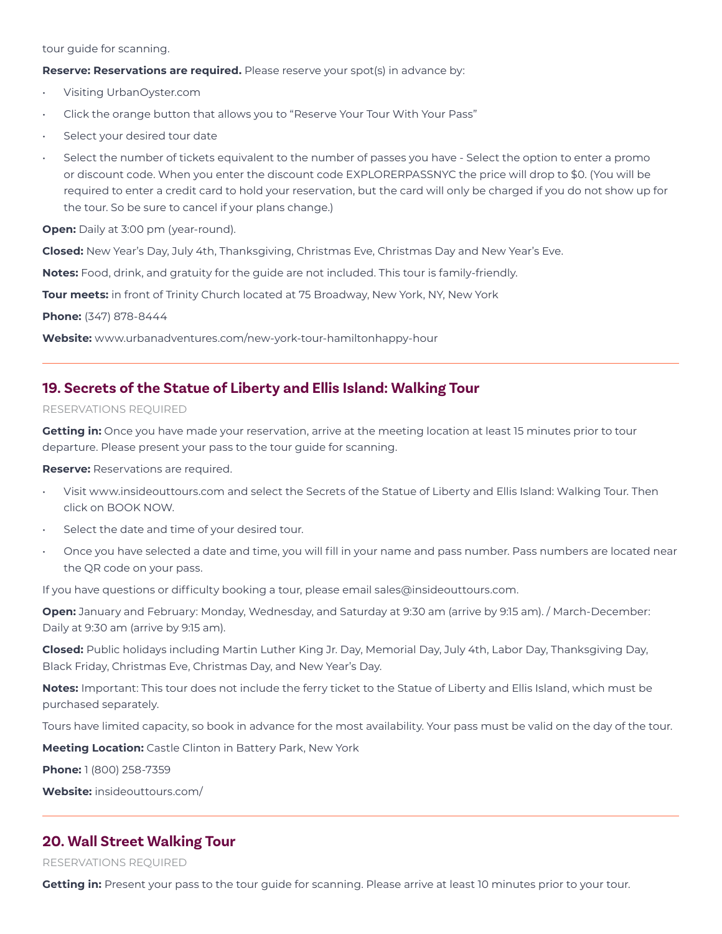tour guide for scanning.

**Reserve: Reservations are required.** Please reserve your spot(s) in advance by:

- Visiting UrbanOyster.com
- Click the orange button that allows you to "Reserve Your Tour With Your Pass"
- Select your desired tour date
- Select the number of tickets equivalent to the number of passes you have Select the option to enter a promo or discount code. When you enter the discount code EXPLORERPASSNYC the price will drop to \$0. (You will be required to enter a credit card to hold your reservation, but the card will only be charged if you do not show up for the tour. So be sure to cancel if your plans change.)

**Open:** Daily at 3:00 pm (year-round).

**Closed:** New Year's Day, July 4th, Thanksgiving, Christmas Eve, Christmas Day and New Year's Eve.

**Notes:** Food, drink, and gratuity for the guide are not included. This tour is family-friendly.

**Tour meets:** in front of Trinity Church located at 75 Broadway, New York, NY, New York

**Phone:** (347) 878-8444

**Website:** www.urbanadventures.com/new-york-tour-hamiltonhappy-hour

### **19. Secrets of the Statue of Liberty and Ellis Island: Walking Tour**

#### RESERVATIONS REQUIRED

**Getting in:** Once you have made your reservation, arrive at the meeting location at least 15 minutes prior to tour departure. Please present your pass to the tour guide for scanning.

**Reserve:** Reservations are required.

- Visit www.insideouttours.com and select the Secrets of the Statue of Liberty and Ellis Island: Walking Tour. Then click on BOOK NOW.
- Select the date and time of your desired tour.
- Once you have selected a date and time, you will fill in your name and pass number. Pass numbers are located near the QR code on your pass.

If you have questions or difficulty booking a tour, please email sales@insideouttours.com.

**Open:** January and February: Monday, Wednesday, and Saturday at 9:30 am (arrive by 9:15 am). / March-December: Daily at 9:30 am (arrive by 9:15 am).

**Closed:** Public holidays including Martin Luther King Jr. Day, Memorial Day, July 4th, Labor Day, Thanksgiving Day, Black Friday, Christmas Eve, Christmas Day, and New Year's Day.

**Notes:** Important: This tour does not include the ferry ticket to the Statue of Liberty and Ellis Island, which must be purchased separately.

Tours have limited capacity, so book in advance for the most availability. Your pass must be valid on the day of the tour.

**Meeting Location:** Castle Clinton in Battery Park, New York

**Phone:** 1 (800) 258-7359

**Website:** insideouttours.com/

### **20. Wall Street Walking Tour**

#### RESERVATIONS REQUIRED

Getting in: Present your pass to the tour quide for scanning. Please arrive at least 10 minutes prior to your tour.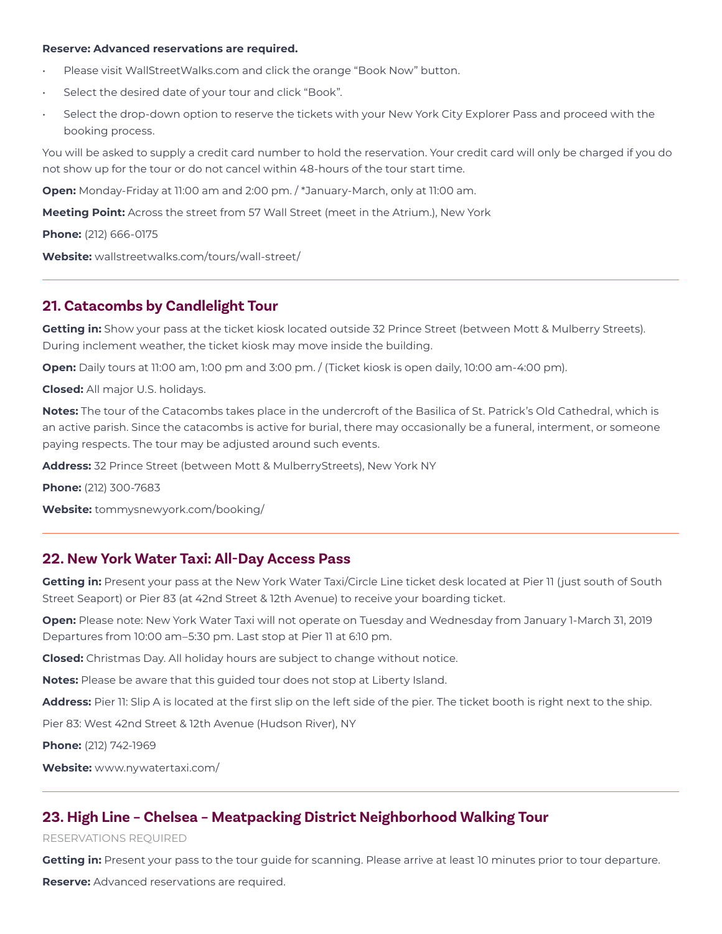#### **Reserve: Advanced reservations are required.**

- Please visit WallStreetWalks.com and click the orange "Book Now" button.
- Select the desired date of your tour and click "Book".
- Select the drop-down option to reserve the tickets with your New York City Explorer Pass and proceed with the booking process.

You will be asked to supply a credit card number to hold the reservation. Your credit card will only be charged if you do not show up for the tour or do not cancel within 48-hours of the tour start time.

**Open:** Monday-Friday at 11:00 am and 2:00 pm. / \*January-March, only at 11:00 am.

**Meeting Point:** Across the street from 57 Wall Street (meet in the Atrium.), New York

**Phone:** (212) 666-0175

**Website:** wallstreetwalks.com/tours/wall-street/

# **21. Catacombs by Candlelight Tour**

**Getting in:** Show your pass at the ticket kiosk located outside 32 Prince Street (between Mott & Mulberry Streets). During inclement weather, the ticket kiosk may move inside the building.

**Open:** Daily tours at 11:00 am, 1:00 pm and 3:00 pm. / (Ticket kiosk is open daily, 10:00 am-4:00 pm).

**Closed:** All major U.S. holidays.

**Notes:** The tour of the Catacombs takes place in the undercroft of the Basilica of St. Patrick's Old Cathedral, which is an active parish. Since the catacombs is active for burial, there may occasionally be a funeral, interment, or someone paying respects. The tour may be adjusted around such events.

**Address:** 32 Prince Street (between Mott & MulberryStreets), New York NY

**Phone:** (212) 300-7683

**Website:** tommysnewyork.com/booking/

# **22. New York Water Taxi: All-Day Access Pass**

**Getting in:** Present your pass at the New York Water Taxi/Circle Line ticket desk located at Pier 11 (just south of South Street Seaport) or Pier 83 (at 42nd Street & 12th Avenue) to receive your boarding ticket.

**Open:** Please note: New York Water Taxi will not operate on Tuesday and Wednesday from January 1-March 31, 2019 Departures from 10:00 am–5:30 pm. Last stop at Pier 11 at 6:10 pm.

**Closed:** Christmas Day. All holiday hours are subject to change without notice.

**Notes:** Please be aware that this guided tour does not stop at Liberty Island.

**Address:** Pier 11: Slip A is located at the first slip on the left side of the pier. The ticket booth is right next to the ship.

Pier 83: West 42nd Street & 12th Avenue (Hudson River), NY

**Phone:** (212) 742-1969

**Website:** www.nywatertaxi.com/

# **23. High Line – Chelsea – Meatpacking District Neighborhood Walking Tour**

### RESERVATIONS REQUIRED

**Getting in:** Present your pass to the tour guide for scanning. Please arrive at least 10 minutes prior to tour departure.

**Reserve:** Advanced reservations are required.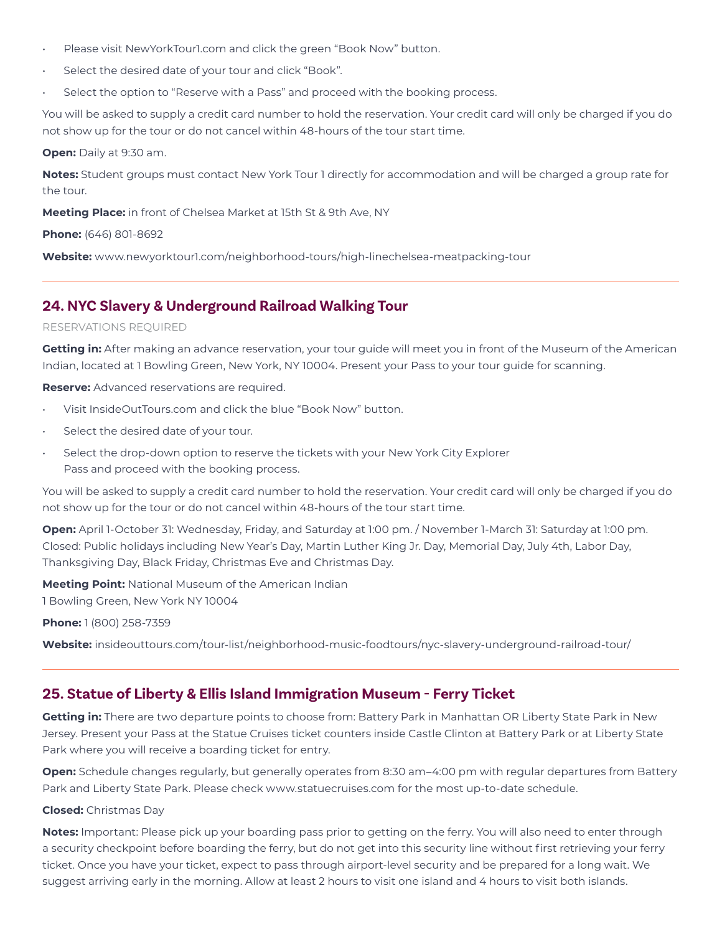- Please visit NewYorkTour1.com and click the green "Book Now" button.
- Select the desired date of your tour and click "Book".
- Select the option to "Reserve with a Pass" and proceed with the booking process.

You will be asked to supply a credit card number to hold the reservation. Your credit card will only be charged if you do not show up for the tour or do not cancel within 48-hours of the tour start time.

### **Open:** Daily at 9:30 am.

**Notes:** Student groups must contact New York Tour 1 directly for accommodation and will be charged a group rate for the tour.

**Meeting Place:** in front of Chelsea Market at 15th St & 9th Ave, NY

**Phone:** (646) 801-8692

**Website:** www.newyorktour1.com/neighborhood-tours/high-linechelsea-meatpacking-tour

## **24. NYC Slavery & Underground Railroad Walking Tour**

### RESERVATIONS REQUIRED

**Getting in:** After making an advance reservation, your tour guide will meet you in front of the Museum of the American Indian, located at 1 Bowling Green, New York, NY 10004. Present your Pass to your tour guide for scanning.

**Reserve:** Advanced reservations are required.

- Visit InsideOutTours.com and click the blue "Book Now" button.
- Select the desired date of your tour.
- Select the drop-down option to reserve the tickets with your New York City Explorer Pass and proceed with the booking process.

You will be asked to supply a credit card number to hold the reservation. Your credit card will only be charged if you do not show up for the tour or do not cancel within 48-hours of the tour start time.

**Open:** April 1-October 31: Wednesday, Friday, and Saturday at 1:00 pm. / November 1-March 31: Saturday at 1:00 pm. Closed: Public holidays including New Year's Day, Martin Luther King Jr. Day, Memorial Day, July 4th, Labor Day, Thanksgiving Day, Black Friday, Christmas Eve and Christmas Day.

**Meeting Point:** National Museum of the American Indian

1 Bowling Green, New York NY 10004

**Phone:** 1 (800) 258-7359

**Website:** insideouttours.com/tour-list/neighborhood-music-foodtours/nyc-slavery-underground-railroad-tour/

## **25. Statue of Liberty & Ellis Island Immigration Museum - Ferry Ticket**

**Getting in:** There are two departure points to choose from: Battery Park in Manhattan OR Liberty State Park in New Jersey. Present your Pass at the Statue Cruises ticket counters inside Castle Clinton at Battery Park or at Liberty State Park where you will receive a boarding ticket for entry.

**Open:** Schedule changes regularly, but generally operates from 8:30 am–4:00 pm with regular departures from Battery Park and Liberty State Park. Please check www.statuecruises.com for the most up-to-date schedule.

### **Closed:** Christmas Day

**Notes:** Important: Please pick up your boarding pass prior to getting on the ferry. You will also need to enter through a security checkpoint before boarding the ferry, but do not get into this security line without first retrieving your ferry ticket. Once you have your ticket, expect to pass through airport-level security and be prepared for a long wait. We suggest arriving early in the morning. Allow at least 2 hours to visit one island and 4 hours to visit both islands.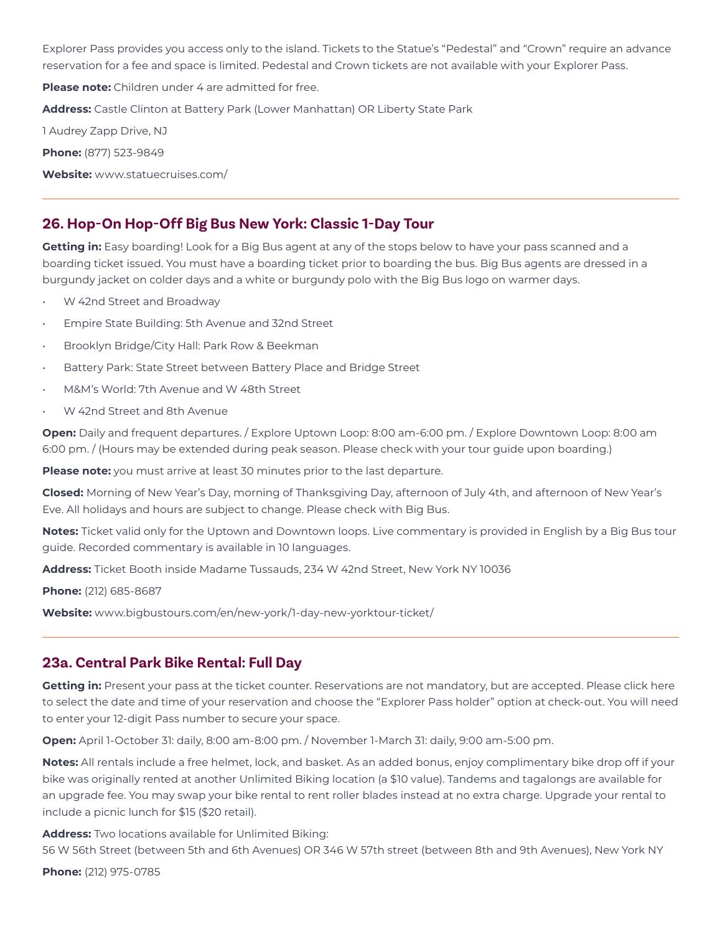Explorer Pass provides you access only to the island. Tickets to the Statue's "Pedestal" and "Crown" require an advance reservation for a fee and space is limited. Pedestal and Crown tickets are not available with your Explorer Pass.

**Please note:** Children under 4 are admitted for free.

**Address:** Castle Clinton at Battery Park (Lower Manhattan) OR Liberty State Park

1 Audrey Zapp Drive, NJ

**Phone:** (877) 523-9849

**Website:** www.statuecruises.com/

## **26. Hop-On Hop-Off Big Bus New York: Classic 1-Day Tour**

**Getting in:** Easy boarding! Look for a Big Bus agent at any of the stops below to have your pass scanned and a boarding ticket issued. You must have a boarding ticket prior to boarding the bus. Big Bus agents are dressed in a burgundy jacket on colder days and a white or burgundy polo with the Big Bus logo on warmer days.

- W 42nd Street and Broadway
- Empire State Building: 5th Avenue and 32nd Street
- Brooklyn Bridge/City Hall: Park Row & Beekman
- Battery Park: State Street between Battery Place and Bridge Street
- M&M's World: 7th Avenue and W 48th Street
- W 42nd Street and 8th Avenue

**Open:** Daily and frequent departures. / Explore Uptown Loop: 8:00 am-6:00 pm. / Explore Downtown Loop: 8:00 am 6:00 pm. / (Hours may be extended during peak season. Please check with your tour guide upon boarding.)

**Please note:** you must arrive at least 30 minutes prior to the last departure.

**Closed:** Morning of New Year's Day, morning of Thanksgiving Day, afternoon of July 4th, and afternoon of New Year's Eve. All holidays and hours are subject to change. Please check with Big Bus.

**Notes:** Ticket valid only for the Uptown and Downtown loops. Live commentary is provided in English by a Big Bus tour guide. Recorded commentary is available in 10 languages.

**Address:** Ticket Booth inside Madame Tussauds, 234 W 42nd Street, New York NY 10036

**Phone:** (212) 685-8687

**Website:** www.bigbustours.com/en/new-york/1-day-new-yorktour-ticket/

### **23a. Central Park Bike Rental: Full Day**

**Getting in:** Present your pass at the ticket counter. Reservations are not mandatory, but are accepted. Please click here to select the date and time of your reservation and choose the "Explorer Pass holder" option at check-out. You will need to enter your 12-digit Pass number to secure your space.

**Open:** April 1-October 31: daily, 8:00 am-8:00 pm. / November 1-March 31: daily, 9:00 am-5:00 pm.

**Notes:** All rentals include a free helmet, lock, and basket. As an added bonus, enjoy complimentary bike drop off if your bike was originally rented at another Unlimited Biking location (a \$10 value). Tandems and tagalongs are available for an upgrade fee. You may swap your bike rental to rent roller blades instead at no extra charge. Upgrade your rental to include a picnic lunch for \$15 (\$20 retail).

**Address:** Two locations available for Unlimited Biking:

56 W 56th Street (between 5th and 6th Avenues) OR 346 W 57th street (between 8th and 9th Avenues), New York NY

**Phone:** (212) 975-0785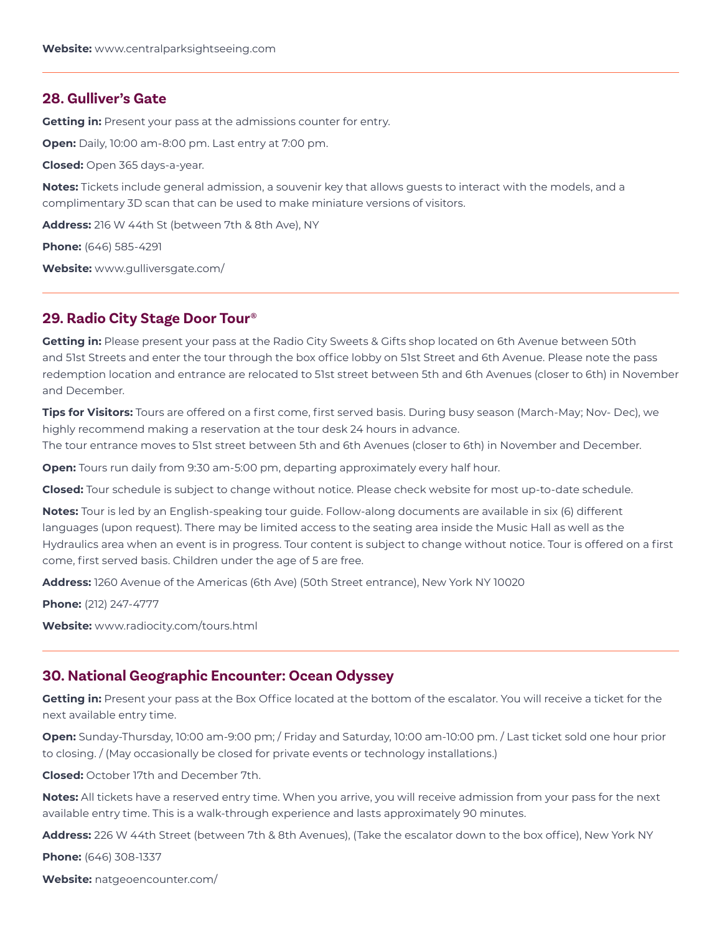### **28. Gulliver's Gate**

**Getting in:** Present your pass at the admissions counter for entry.

**Open:** Daily, 10:00 am-8:00 pm. Last entry at 7:00 pm.

**Closed:** Open 365 days-a-year.

**Notes:** Tickets include general admission, a souvenir key that allows guests to interact with the models, and a complimentary 3D scan that can be used to make miniature versions of visitors.

**Address:** 216 W 44th St (between 7th & 8th Ave), NY

**Phone:** (646) 585-4291

**Website:** www.gulliversgate.com/

### **29. Radio City Stage Door Tour®**

**Getting in:** Please present your pass at the Radio City Sweets & Gifts shop located on 6th Avenue between 50th and 51st Streets and enter the tour through the box office lobby on 51st Street and 6th Avenue. Please note the pass redemption location and entrance are relocated to 51st street between 5th and 6th Avenues (closer to 6th) in November and December.

**Tips for Visitors:** Tours are offered on a first come, first served basis. During busy season (March-May; Nov- Dec), we highly recommend making a reservation at the tour desk 24 hours in advance. The tour entrance moves to 51st street between 5th and 6th Avenues (closer to 6th) in November and December.

**Open:** Tours run daily from 9:30 am-5:00 pm, departing approximately every half hour.

**Closed:** Tour schedule is subject to change without notice. Please check website for most up-to-date schedule.

**Notes:** Tour is led by an English-speaking tour guide. Follow-along documents are available in six (6) different languages (upon request). There may be limited access to the seating area inside the Music Hall as well as the Hydraulics area when an event is in progress. Tour content is subject to change without notice. Tour is offered on a first come, first served basis. Children under the age of 5 are free.

**Address:** 1260 Avenue of the Americas (6th Ave) (50th Street entrance), New York NY 10020

**Phone:** (212) 247-4777

**Website:** www.radiocity.com/tours.html

### **30. National Geographic Encounter: Ocean Odyssey**

**Getting in:** Present your pass at the Box Office located at the bottom of the escalator. You will receive a ticket for the next available entry time.

**Open:** Sunday-Thursday, 10:00 am-9:00 pm; / Friday and Saturday, 10:00 am-10:00 pm. / Last ticket sold one hour prior to closing. / (May occasionally be closed for private events or technology installations.)

**Closed:** October 17th and December 7th.

**Notes:** All tickets have a reserved entry time. When you arrive, you will receive admission from your pass for the next available entry time. This is a walk-through experience and lasts approximately 90 minutes.

**Address:** 226 W 44th Street (between 7th & 8th Avenues), (Take the escalator down to the box office), New York NY

**Phone:** (646) 308-1337

**Website:** natgeoencounter.com/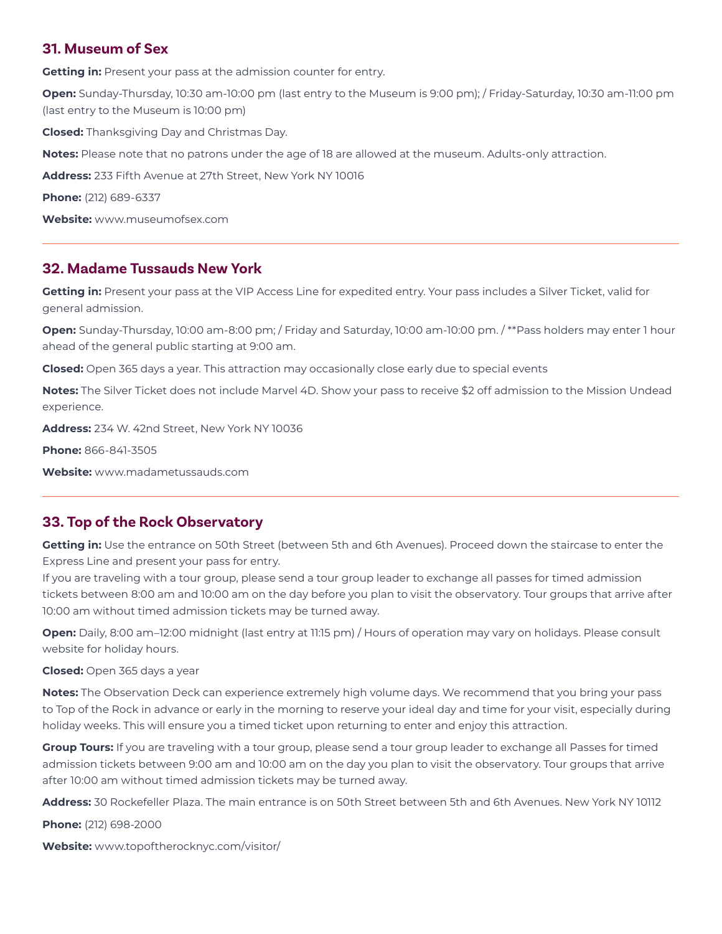### **31. Museum of Sex**

**Getting in:** Present your pass at the admission counter for entry.

**Open:** Sunday-Thursday, 10:30 am-10:00 pm (last entry to the Museum is 9:00 pm); / Friday-Saturday, 10:30 am-11:00 pm (last entry to the Museum is 10:00 pm)

**Closed:** Thanksgiving Day and Christmas Day.

**Notes:** Please note that no patrons under the age of 18 are allowed at the museum. Adults-only attraction.

**Address:** 233 Fifth Avenue at 27th Street, New York NY 10016

**Phone:** (212) 689-6337

**Website:** www.museumofsex.com

### **32. Madame Tussauds New York**

**Getting in:** Present your pass at the VIP Access Line for expedited entry. Your pass includes a Silver Ticket, valid for general admission.

**Open:** Sunday-Thursday, 10:00 am-8:00 pm; / Friday and Saturday, 10:00 am-10:00 pm. / \*\*Pass holders may enter 1 hour ahead of the general public starting at 9:00 am.

**Closed:** Open 365 days a year. This attraction may occasionally close early due to special events

**Notes:** The Silver Ticket does not include Marvel 4D. Show your pass to receive \$2 off admission to the Mission Undead experience.

**Address:** 234 W. 42nd Street, New York NY 10036

**Phone:** 866-841-3505

**Website:** www.madametussauds.com

## **33. Top of the Rock Observatory**

**Getting in:** Use the entrance on 50th Street (between 5th and 6th Avenues). Proceed down the staircase to enter the Express Line and present your pass for entry.

If you are traveling with a tour group, please send a tour group leader to exchange all passes for timed admission tickets between 8:00 am and 10:00 am on the day before you plan to visit the observatory. Tour groups that arrive after 10:00 am without timed admission tickets may be turned away.

**Open:** Daily, 8:00 am–12:00 midnight (last entry at 11:15 pm) / Hours of operation may vary on holidays. Please consult website for holiday hours.

**Closed:** Open 365 days a year

**Notes:** The Observation Deck can experience extremely high volume days. We recommend that you bring your pass to Top of the Rock in advance or early in the morning to reserve your ideal day and time for your visit, especially during holiday weeks. This will ensure you a timed ticket upon returning to enter and enjoy this attraction.

**Group Tours:** If you are traveling with a tour group, please send a tour group leader to exchange all Passes for timed admission tickets between 9:00 am and 10:00 am on the day you plan to visit the observatory. Tour groups that arrive after 10:00 am without timed admission tickets may be turned away.

**Address:** 30 Rockefeller Plaza. The main entrance is on 50th Street between 5th and 6th Avenues. New York NY 10112

**Phone:** (212) 698-2000

**Website:** www.topoftherocknyc.com/visitor/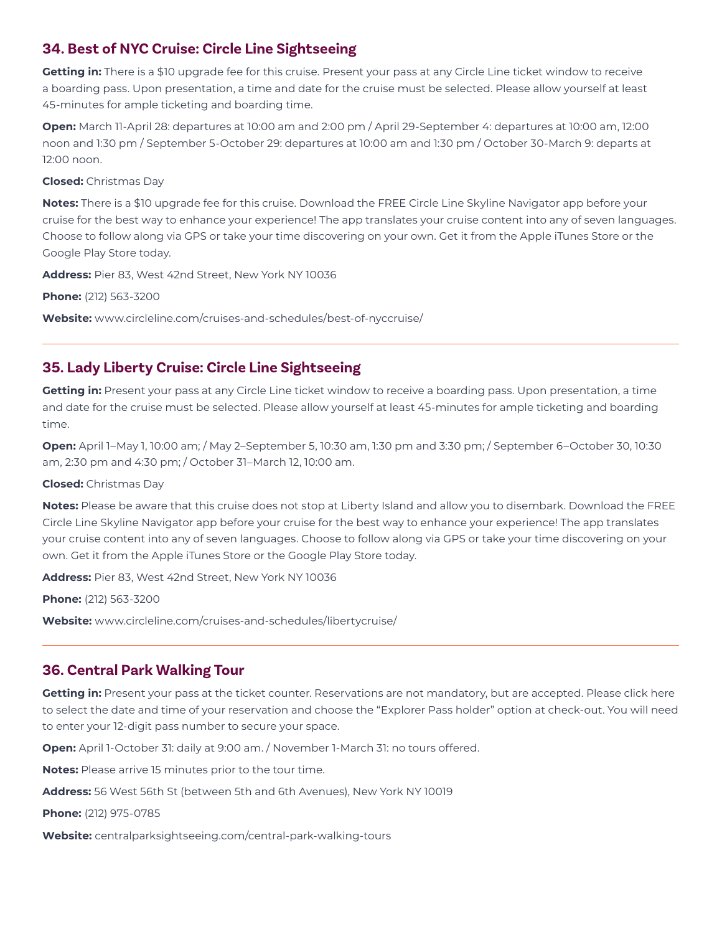# **34. Best of NYC Cruise: Circle Line Sightseeing**

**Getting in:** There is a \$10 upgrade fee for this cruise. Present your pass at any Circle Line ticket window to receive a boarding pass. Upon presentation, a time and date for the cruise must be selected. Please allow yourself at least 45-minutes for ample ticketing and boarding time.

**Open:** March 11-April 28: departures at 10:00 am and 2:00 pm / April 29-September 4: departures at 10:00 am, 12:00 noon and 1:30 pm / September 5-October 29: departures at 10:00 am and 1:30 pm / October 30-March 9: departs at 12:00 noon.

### **Closed:** Christmas Day

**Notes:** There is a \$10 upgrade fee for this cruise. Download the FREE Circle Line Skyline Navigator app before your cruise for the best way to enhance your experience! The app translates your cruise content into any of seven languages. Choose to follow along via GPS or take your time discovering on your own. Get it from the Apple iTunes Store or the Google Play Store today.

**Address:** Pier 83, West 42nd Street, New York NY 10036

**Phone:** (212) 563-3200

**Website:** www.circleline.com/cruises-and-schedules/best-of-nyccruise/

# **35. Lady Liberty Cruise: Circle Line Sightseeing**

**Getting in:** Present your pass at any Circle Line ticket window to receive a boarding pass. Upon presentation, a time and date for the cruise must be selected. Please allow yourself at least 45-minutes for ample ticketing and boarding time.

**Open:** April 1–May 1, 10:00 am; / May 2–September 5, 10:30 am, 1:30 pm and 3:30 pm; / September 6–October 30, 10:30 am, 2:30 pm and 4:30 pm; / October 31–March 12, 10:00 am.

### **Closed:** Christmas Day

**Notes:** Please be aware that this cruise does not stop at Liberty Island and allow you to disembark. Download the FREE Circle Line Skyline Navigator app before your cruise for the best way to enhance your experience! The app translates your cruise content into any of seven languages. Choose to follow along via GPS or take your time discovering on your own. Get it from the Apple iTunes Store or the Google Play Store today.

**Address:** Pier 83, West 42nd Street, New York NY 10036

**Phone:** (212) 563-3200

**Website:** www.circleline.com/cruises-and-schedules/libertycruise/

## **36. Central Park Walking Tour**

Getting in: Present your pass at the ticket counter. Reservations are not mandatory, but are accepted. Please click here to select the date and time of your reservation and choose the "Explorer Pass holder" option at check-out. You will need to enter your 12-digit pass number to secure your space.

**Open:** April 1-October 31: daily at 9:00 am. / November 1-March 31: no tours offered.

**Notes:** Please arrive 15 minutes prior to the tour time.

**Address:** 56 West 56th St (between 5th and 6th Avenues), New York NY 10019

**Phone:** (212) 975-0785

**Website:** centralparksightseeing.com/central-park-walking-tours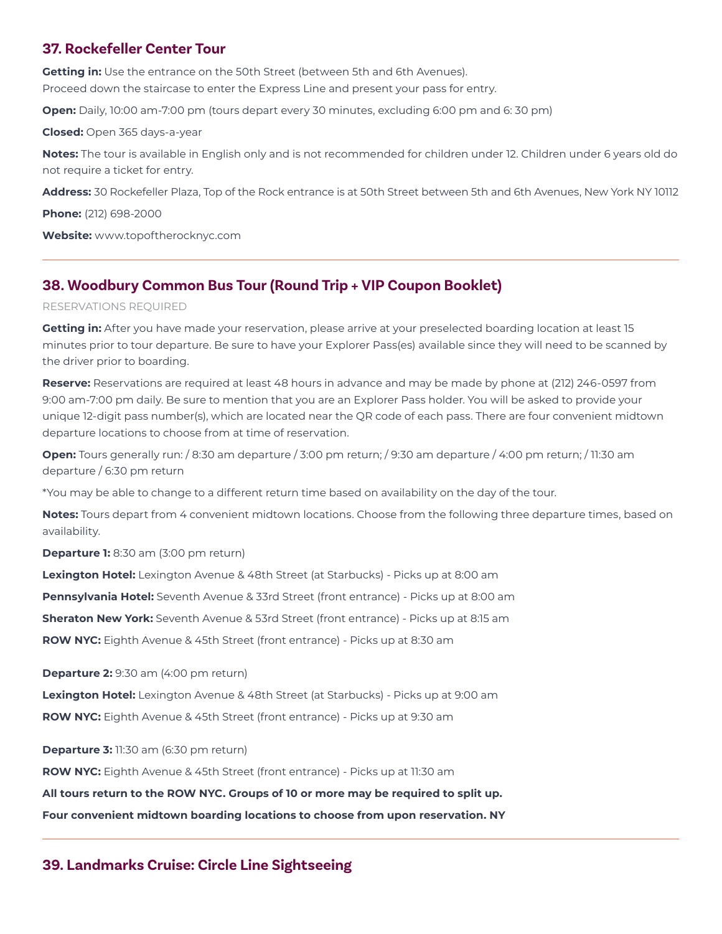# **37. Rockefeller Center Tour**

**Getting in:** Use the entrance on the 50th Street (between 5th and 6th Avenues). Proceed down the staircase to enter the Express Line and present your pass for entry.

**Open:** Daily, 10:00 am-7:00 pm (tours depart every 30 minutes, excluding 6:00 pm and 6: 30 pm)

**Closed:** Open 365 days-a-year

**Notes:** The tour is available in English only and is not recommended for children under 12. Children under 6 years old do not require a ticket for entry.

**Address:** 30 Rockefeller Plaza, Top of the Rock entrance is at 50th Street between 5th and 6th Avenues, New York NY 10112

**Phone:** (212) 698-2000

**Website:** www.topoftherocknyc.com

# **38. Woodbury Common Bus Tour (Round Trip + VIP Coupon Booklet)**

#### RESERVATIONS REQUIRED

**Getting in:** After you have made your reservation, please arrive at your preselected boarding location at least 15 minutes prior to tour departure. Be sure to have your Explorer Pass(es) available since they will need to be scanned by the driver prior to boarding.

**Reserve:** Reservations are required at least 48 hours in advance and may be made by phone at (212) 246-0597 from 9:00 am-7:00 pm daily. Be sure to mention that you are an Explorer Pass holder. You will be asked to provide your unique 12-digit pass number(s), which are located near the QR code of each pass. There are four convenient midtown departure locations to choose from at time of reservation.

**Open:** Tours generally run: / 8:30 am departure / 3:00 pm return; / 9:30 am departure / 4:00 pm return; / 11:30 am departure / 6:30 pm return

\*You may be able to change to a different return time based on availability on the day of the tour.

**Notes:** Tours depart from 4 convenient midtown locations. Choose from the following three departure times, based on availability.

**Departure 1:** 8:30 am (3:00 pm return)

**Lexington Hotel:** Lexington Avenue & 48th Street (at Starbucks) - Picks up at 8:00 am

**Pennsylvania Hotel:** Seventh Avenue & 33rd Street (front entrance) - Picks up at 8:00 am

**Sheraton New York:** Seventh Avenue & 53rd Street (front entrance) - Picks up at 8:15 am

**ROW NYC:** Eighth Avenue & 45th Street (front entrance) - Picks up at 8:30 am

**Departure 2:** 9:30 am (4:00 pm return)

**Lexington Hotel:** Lexington Avenue & 48th Street (at Starbucks) - Picks up at 9:00 am **ROW NYC:** Eighth Avenue & 45th Street (front entrance) - Picks up at 9:30 am

**Departure 3:** 11:30 am (6:30 pm return)

**ROW NYC:** Eighth Avenue & 45th Street (front entrance) - Picks up at 11:30 am

**All tours return to the ROW NYC. Groups of 10 or more may be required to split up.**

**Four convenient midtown boarding locations to choose from upon reservation. NY**

## **39. Landmarks Cruise: Circle Line Sightseeing**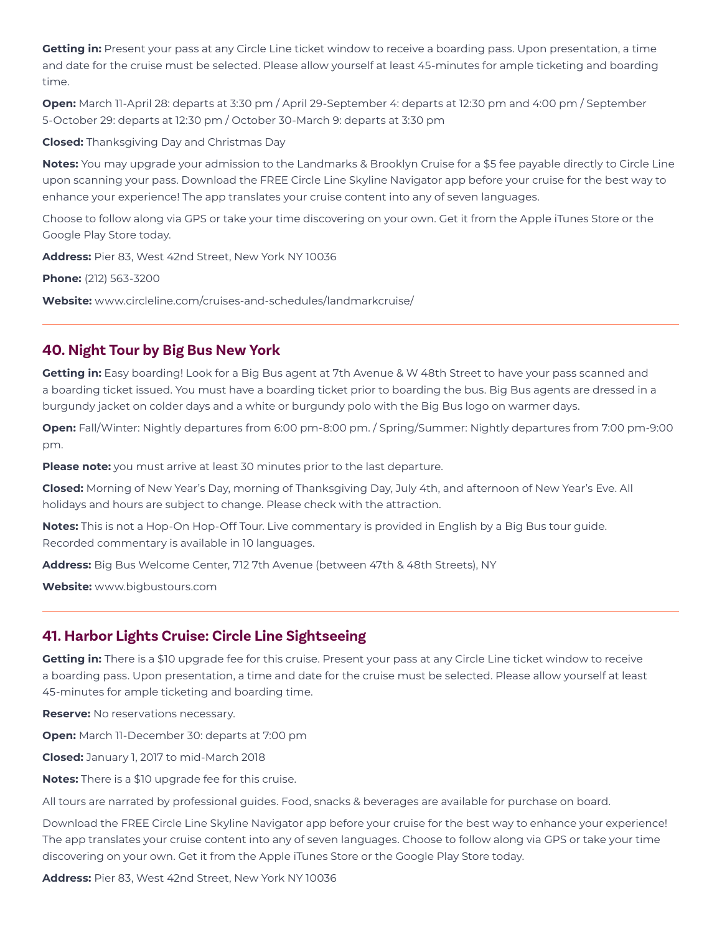**Getting in:** Present your pass at any Circle Line ticket window to receive a boarding pass. Upon presentation, a time and date for the cruise must be selected. Please allow yourself at least 45-minutes for ample ticketing and boarding time.

**Open:** March 11-April 28: departs at 3:30 pm / April 29-September 4: departs at 12:30 pm and 4:00 pm / September 5-October 29: departs at 12:30 pm / October 30-March 9: departs at 3:30 pm

**Closed:** Thanksgiving Day and Christmas Day

**Notes:** You may upgrade your admission to the Landmarks & Brooklyn Cruise for a \$5 fee payable directly to Circle Line upon scanning your pass. Download the FREE Circle Line Skyline Navigator app before your cruise for the best way to enhance your experience! The app translates your cruise content into any of seven languages.

Choose to follow along via GPS or take your time discovering on your own. Get it from the Apple iTunes Store or the Google Play Store today.

**Address:** Pier 83, West 42nd Street, New York NY 10036

**Phone:** (212) 563-3200

**Website:** www.circleline.com/cruises-and-schedules/landmarkcruise/

### **40. Night Tour by Big Bus New York**

**Getting in:** Easy boarding! Look for a Big Bus agent at 7th Avenue & W 48th Street to have your pass scanned and a boarding ticket issued. You must have a boarding ticket prior to boarding the bus. Big Bus agents are dressed in a burgundy jacket on colder days and a white or burgundy polo with the Big Bus logo on warmer days.

**Open:** Fall/Winter: Nightly departures from 6:00 pm-8:00 pm. / Spring/Summer: Nightly departures from 7:00 pm-9:00 pm.

**Please note:** you must arrive at least 30 minutes prior to the last departure.

**Closed:** Morning of New Year's Day, morning of Thanksgiving Day, July 4th, and afternoon of New Year's Eve. All holidays and hours are subject to change. Please check with the attraction.

**Notes:** This is not a Hop-On Hop-Off Tour. Live commentary is provided in English by a Big Bus tour guide. Recorded commentary is available in 10 languages.

**Address:** Big Bus Welcome Center, 712 7th Avenue (between 47th & 48th Streets), NY

**Website:** www.bigbustours.com

### **41. Harbor Lights Cruise: Circle Line Sightseeing**

**Getting in:** There is a \$10 upgrade fee for this cruise. Present your pass at any Circle Line ticket window to receive a boarding pass. Upon presentation, a time and date for the cruise must be selected. Please allow yourself at least 45-minutes for ample ticketing and boarding time.

**Reserve:** No reservations necessary.

**Open:** March 11-December 30: departs at 7:00 pm

**Closed:** January 1, 2017 to mid-March 2018

**Notes:** There is a \$10 upgrade fee for this cruise.

All tours are narrated by professional guides. Food, snacks & beverages are available for purchase on board.

Download the FREE Circle Line Skyline Navigator app before your cruise for the best way to enhance your experience! The app translates your cruise content into any of seven languages. Choose to follow along via GPS or take your time discovering on your own. Get it from the Apple iTunes Store or the Google Play Store today.

**Address:** Pier 83, West 42nd Street, New York NY 10036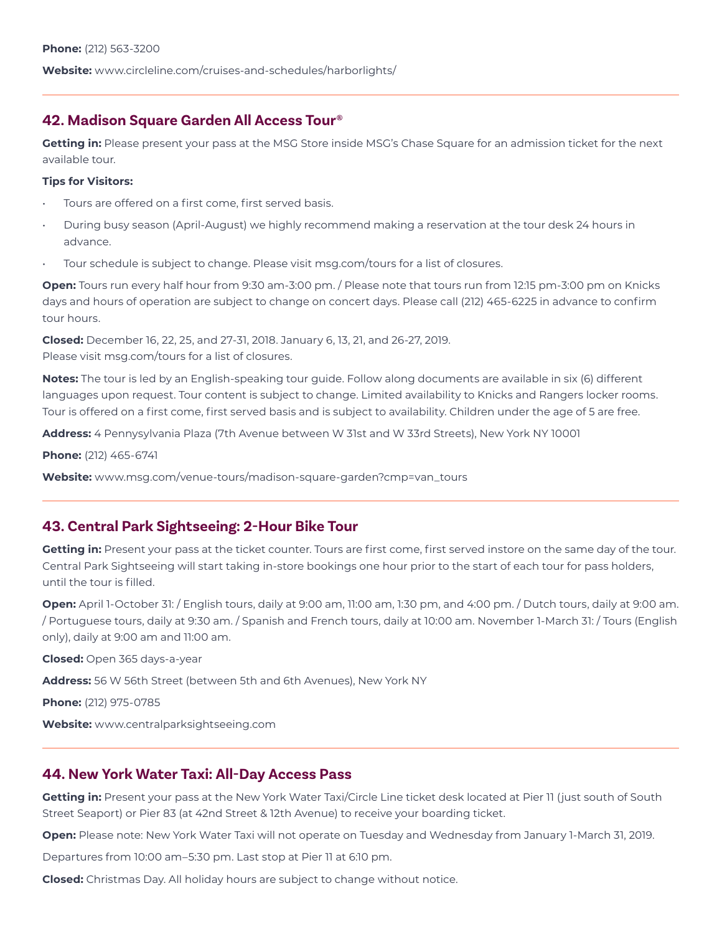# **42. Madison Square Garden All Access Tour®**

**Getting in:** Please present your pass at the MSG Store inside MSG's Chase Square for an admission ticket for the next available tour.

### **Tips for Visitors:**

- Tours are offered on a first come, first served basis.
- During busy season (April-August) we highly recommend making a reservation at the tour desk 24 hours in advance.
- Tour schedule is subject to change. Please visit msg.com/tours for a list of closures.

**Open:** Tours run every half hour from 9:30 am-3:00 pm. / Please note that tours run from 12:15 pm-3:00 pm on Knicks days and hours of operation are subject to change on concert days. Please call (212) 465-6225 in advance to confirm tour hours.

**Closed:** December 16, 22, 25, and 27-31, 2018. January 6, 13, 21, and 26-27, 2019. Please visit msg.com/tours for a list of closures.

**Notes:** The tour is led by an English-speaking tour guide. Follow along documents are available in six (6) different languages upon request. Tour content is subject to change. Limited availability to Knicks and Rangers locker rooms. Tour is offered on a first come, first served basis and is subject to availability. Children under the age of 5 are free.

**Address:** 4 Pennysylvania Plaza (7th Avenue between W 31st and W 33rd Streets), New York NY 10001

**Phone:** (212) 465-6741

**Website:** www.msg.com/venue-tours/madison-square-garden?cmp=van\_tours

# **43. Central Park Sightseeing: 2-Hour Bike Tour**

**Getting in:** Present your pass at the ticket counter. Tours are first come, first served instore on the same day of the tour. Central Park Sightseeing will start taking in-store bookings one hour prior to the start of each tour for pass holders, until the tour is filled.

**Open:** April 1-October 31: / English tours, daily at 9:00 am, 11:00 am, 1:30 pm, and 4:00 pm. / Dutch tours, daily at 9:00 am. / Portuguese tours, daily at 9:30 am. / Spanish and French tours, daily at 10:00 am. November 1-March 31: / Tours (English only), daily at 9:00 am and 11:00 am.

**Closed:** Open 365 days-a-year

**Address:** 56 W 56th Street (between 5th and 6th Avenues), New York NY

**Phone:** (212) 975-0785

**Website:** www.centralparksightseeing.com

# **44. New York Water Taxi: All-Day Access Pass**

**Getting in:** Present your pass at the New York Water Taxi/Circle Line ticket desk located at Pier 11 (just south of South Street Seaport) or Pier 83 (at 42nd Street & 12th Avenue) to receive your boarding ticket.

**Open:** Please note: New York Water Taxi will not operate on Tuesday and Wednesday from January 1-March 31, 2019.

Departures from 10:00 am–5:30 pm. Last stop at Pier 11 at 6:10 pm.

**Closed:** Christmas Day. All holiday hours are subject to change without notice.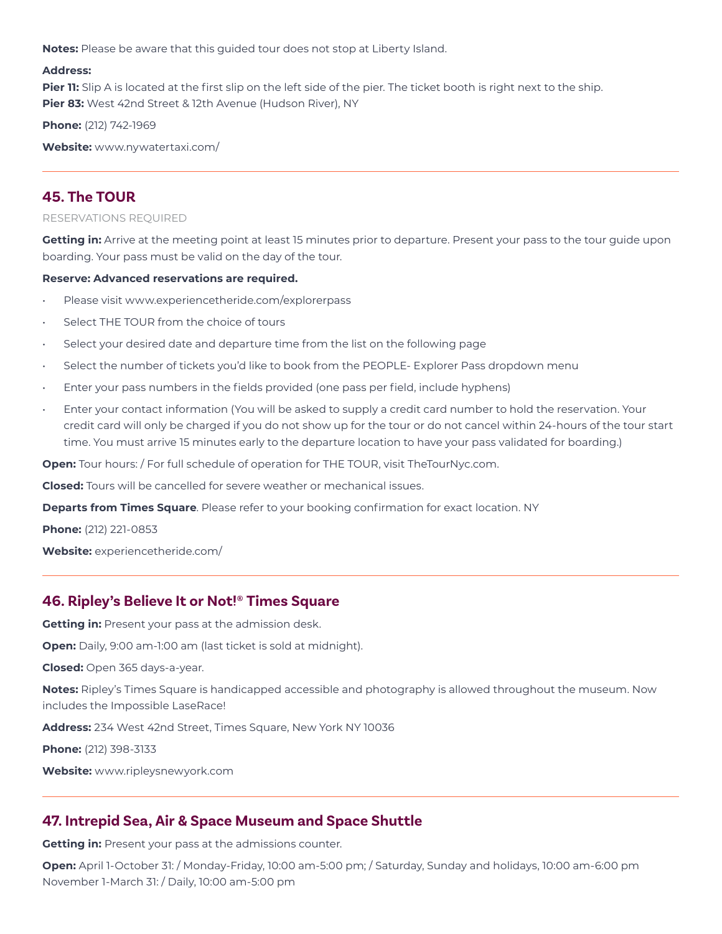**Notes:** Please be aware that this guided tour does not stop at Liberty Island.

#### **Address:**

**Pier 11:** Slip A is located at the first slip on the left side of the pier. The ticket booth is right next to the ship. **Pier 83:** West 42nd Street & 12th Avenue (Hudson River), NY

**Phone:** (212) 742-1969

**Website:** www.nywatertaxi.com/

# **45. The TOUR**

### RESERVATIONS REQUIRED

**Getting in:** Arrive at the meeting point at least 15 minutes prior to departure. Present your pass to the tour guide upon boarding. Your pass must be valid on the day of the tour.

#### **Reserve: Advanced reservations are required.**

- Please visit www.experiencetheride.com/explorerpass
- Select THE TOUR from the choice of tours
- Select your desired date and departure time from the list on the following page
- Select the number of tickets you'd like to book from the PEOPLE- Explorer Pass dropdown menu
- Enter your pass numbers in the fields provided (one pass per field, include hyphens)
- Enter your contact information (You will be asked to supply a credit card number to hold the reservation. Your credit card will only be charged if you do not show up for the tour or do not cancel within 24-hours of the tour start time. You must arrive 15 minutes early to the departure location to have your pass validated for boarding.)

**Open:** Tour hours: / For full schedule of operation for THE TOUR, visit TheTourNyc.com.

**Closed:** Tours will be cancelled for severe weather or mechanical issues.

**Departs from Times Square**. Please refer to your booking confirmation for exact location. NY

**Phone:** (212) 221-0853

**Website:** experiencetheride.com/

### **46. Ripley's Believe It or Not!® Times Square**

**Getting in:** Present your pass at the admission desk.

**Open:** Daily, 9:00 am-1:00 am (last ticket is sold at midnight).

**Closed:** Open 365 days-a-year.

**Notes:** Ripley's Times Square is handicapped accessible and photography is allowed throughout the museum. Now includes the Impossible LaseRace!

**Address:** 234 West 42nd Street, Times Square, New York NY 10036

**Phone:** (212) 398-3133

**Website:** www.ripleysnewyork.com

## **47. Intrepid Sea, Air & Space Museum and Space Shuttle**

**Getting in:** Present your pass at the admissions counter.

**Open:** April 1-October 31: / Monday-Friday, 10:00 am-5:00 pm; / Saturday, Sunday and holidays, 10:00 am-6:00 pm November 1-March 31: / Daily, 10:00 am-5:00 pm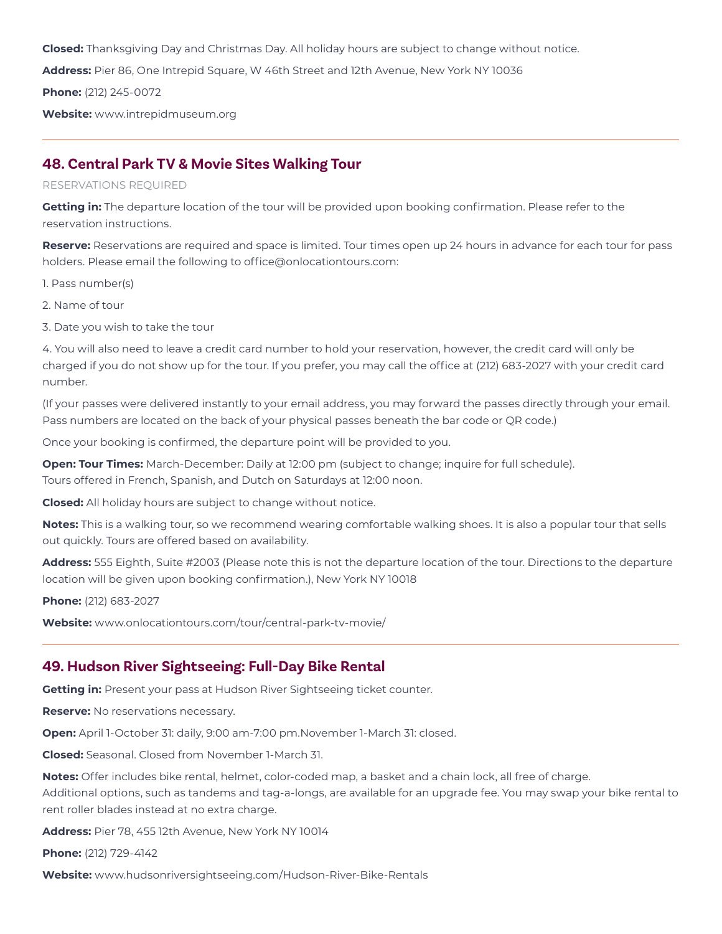**Closed:** Thanksgiving Day and Christmas Day. All holiday hours are subject to change without notice.

**Address:** Pier 86, One Intrepid Square, W 46th Street and 12th Avenue, New York NY 10036

**Phone:** (212) 245-0072

**Website:** www.intrepidmuseum.org

### **48. Central Park TV & Movie Sites Walking Tour**

#### RESERVATIONS REQUIRED

**Getting in:** The departure location of the tour will be provided upon booking confirmation. Please refer to the reservation instructions.

**Reserve:** Reservations are required and space is limited. Tour times open up 24 hours in advance for each tour for pass holders. Please email the following to office@onlocationtours.com:

1. Pass number(s)

- 2. Name of tour
- 3. Date you wish to take the tour

4. You will also need to leave a credit card number to hold your reservation, however, the credit card will only be charged if you do not show up for the tour. If you prefer, you may call the office at (212) 683-2027 with your credit card number.

(If your passes were delivered instantly to your email address, you may forward the passes directly through your email. Pass numbers are located on the back of your physical passes beneath the bar code or QR code.)

Once your booking is confirmed, the departure point will be provided to you.

**Open: Tour Times:** March-December: Daily at 12:00 pm (subject to change; inquire for full schedule). Tours offered in French, Spanish, and Dutch on Saturdays at 12:00 noon.

**Closed:** All holiday hours are subject to change without notice.

**Notes:** This is a walking tour, so we recommend wearing comfortable walking shoes. It is also a popular tour that sells out quickly. Tours are offered based on availability.

**Address:** 555 Eighth, Suite #2003 (Please note this is not the departure location of the tour. Directions to the departure location will be given upon booking confirmation.), New York NY 10018

**Phone:** (212) 683-2027

**Website:** www.onlocationtours.com/tour/central-park-tv-movie/

### **49. Hudson River Sightseeing: Full-Day Bike Rental**

**Getting in:** Present your pass at Hudson River Sightseeing ticket counter.

**Reserve:** No reservations necessary.

**Open:** April 1-October 31: daily, 9:00 am-7:00 pm.November 1-March 31: closed.

**Closed:** Seasonal. Closed from November 1-March 31.

**Notes:** Offer includes bike rental, helmet, color-coded map, a basket and a chain lock, all free of charge. Additional options, such as tandems and tag-a-longs, are available for an upgrade fee. You may swap your bike rental to rent roller blades instead at no extra charge.

**Address:** Pier 78, 455 12th Avenue, New York NY 10014

**Phone:** (212) 729-4142

**Website:** www.hudsonriversightseeing.com/Hudson-River-Bike-Rentals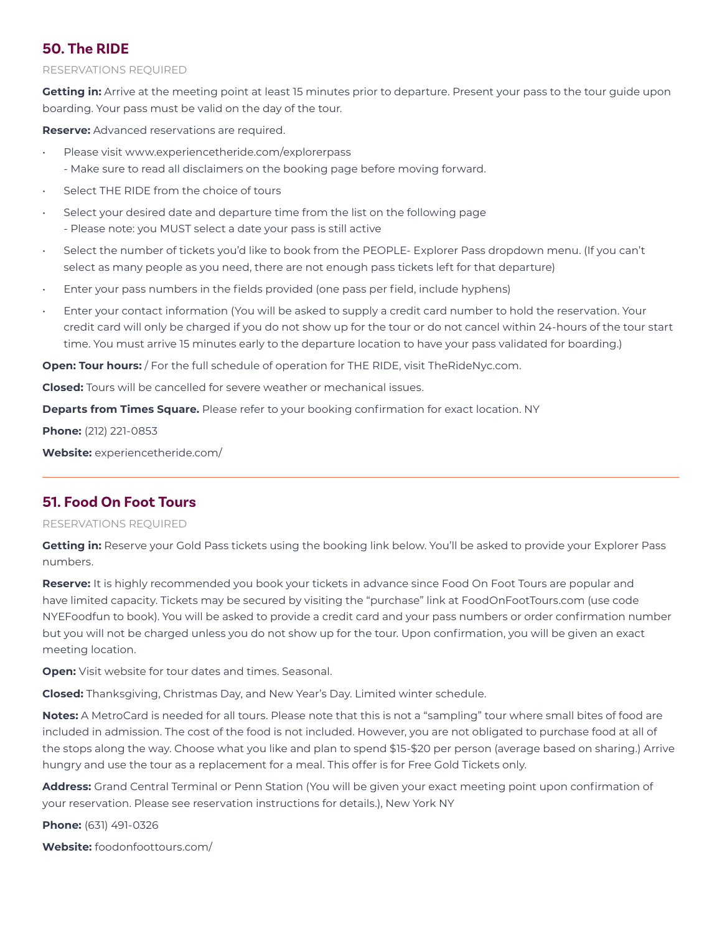# **50. The RIDE**

### RESERVATIONS REQUIRED

**Getting in:** Arrive at the meeting point at least 15 minutes prior to departure. Present your pass to the tour guide upon boarding. Your pass must be valid on the day of the tour.

**Reserve:** Advanced reservations are required.

- Please visit www.experiencetheride.com/explorerpass
- Make sure to read all disclaimers on the booking page before moving forward.
- Select THE RIDE from the choice of tours
- Select your desired date and departure time from the list on the following page - Please note: you MUST select a date your pass is still active
- Select the number of tickets you'd like to book from the PEOPLE- Explorer Pass dropdown menu. (If you can't select as many people as you need, there are not enough pass tickets left for that departure)
- Enter your pass numbers in the fields provided (one pass per field, include hyphens)
- Enter your contact information (You will be asked to supply a credit card number to hold the reservation. Your credit card will only be charged if you do not show up for the tour or do not cancel within 24-hours of the tour start time. You must arrive 15 minutes early to the departure location to have your pass validated for boarding.)

**Open: Tour hours:** / For the full schedule of operation for THE RIDE, visit TheRideNyc.com.

**Closed:** Tours will be cancelled for severe weather or mechanical issues.

**Departs from Times Square.** Please refer to your booking confirmation for exact location. NY

**Phone:** (212) 221-0853

**Website:** experiencetheride.com/

## **51. Food On Foot Tours**

### RESERVATIONS REQUIRED

**Getting in:** Reserve your Gold Pass tickets using the booking link below. You'll be asked to provide your Explorer Pass numbers.

**Reserve:** It is highly recommended you book your tickets in advance since Food On Foot Tours are popular and have limited capacity. Tickets may be secured by visiting the "purchase" link at FoodOnFootTours.com (use code NYEFoodfun to book). You will be asked to provide a credit card and your pass numbers or order confirmation number but you will not be charged unless you do not show up for the tour. Upon confirmation, you will be given an exact meeting location.

**Open:** Visit website for tour dates and times. Seasonal.

**Closed:** Thanksgiving, Christmas Day, and New Year's Day. Limited winter schedule.

**Notes:** A MetroCard is needed for all tours. Please note that this is not a "sampling" tour where small bites of food are included in admission. The cost of the food is not included. However, you are not obligated to purchase food at all of the stops along the way. Choose what you like and plan to spend \$15-\$20 per person (average based on sharing.) Arrive hungry and use the tour as a replacement for a meal. This offer is for Free Gold Tickets only.

**Address:** Grand Central Terminal or Penn Station (You will be given your exact meeting point upon confirmation of your reservation. Please see reservation instructions for details.), New York NY

**Phone:** (631) 491-0326

**Website:** foodonfoottours.com/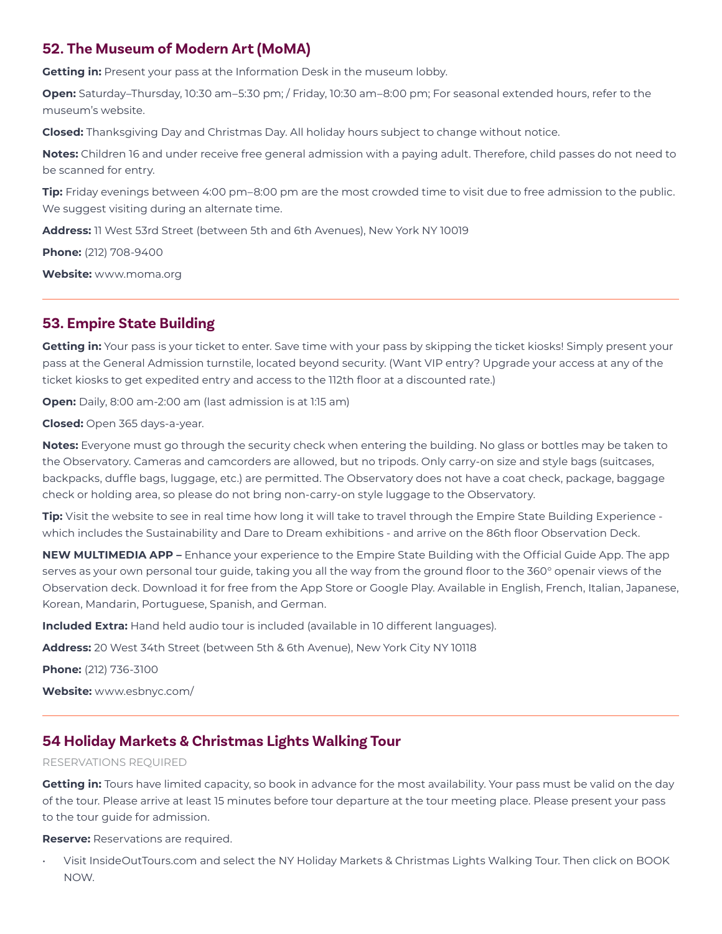## **52. The Museum of Modern Art (MoMA)**

**Getting in:** Present your pass at the Information Desk in the museum lobby.

**Open:** Saturday–Thursday, 10:30 am–5:30 pm; / Friday, 10:30 am–8:00 pm; For seasonal extended hours, refer to the museum's website.

**Closed:** Thanksgiving Day and Christmas Day. All holiday hours subject to change without notice.

**Notes:** Children 16 and under receive free general admission with a paying adult. Therefore, child passes do not need to be scanned for entry.

**Tip:** Friday evenings between 4:00 pm–8:00 pm are the most crowded time to visit due to free admission to the public. We suggest visiting during an alternate time.

**Address:** 11 West 53rd Street (between 5th and 6th Avenues), New York NY 10019

**Phone:** (212) 708-9400

**Website:** www.moma.org

## **53. Empire State Building**

**Getting in:** Your pass is your ticket to enter. Save time with your pass by skipping the ticket kiosks! Simply present your pass at the General Admission turnstile, located beyond security. (Want VIP entry? Upgrade your access at any of the ticket kiosks to get expedited entry and access to the 112th floor at a discounted rate.)

**Open:** Daily, 8:00 am-2:00 am (last admission is at 1:15 am)

**Closed:** Open 365 days-a-year.

**Notes:** Everyone must go through the security check when entering the building. No glass or bottles may be taken to the Observatory. Cameras and camcorders are allowed, but no tripods. Only carry-on size and style bags (suitcases, backpacks, duffle bags, luggage, etc.) are permitted. The Observatory does not have a coat check, package, baggage check or holding area, so please do not bring non-carry-on style luggage to the Observatory.

**Tip:** Visit the website to see in real time how long it will take to travel through the Empire State Building Experience which includes the Sustainability and Dare to Dream exhibitions - and arrive on the 86th floor Observation Deck.

**NEW MULTIMEDIA APP –** Enhance your experience to the Empire State Building with the Official Guide App. The app serves as your own personal tour guide, taking you all the way from the ground floor to the 360° openair views of the Observation deck. Download it for free from the App Store or Google Play. Available in English, French, Italian, Japanese, Korean, Mandarin, Portuguese, Spanish, and German.

**Included Extra:** Hand held audio tour is included (available in 10 different languages).

**Address:** 20 West 34th Street (between 5th & 6th Avenue), New York City NY 10118

**Phone:** (212) 736-3100

**Website:** www.esbnyc.com/

## **54 Holiday Markets & Christmas Lights Walking Tour**

### RESERVATIONS REQUIRED

**Getting in:** Tours have limited capacity, so book in advance for the most availability. Your pass must be valid on the day of the tour. Please arrive at least 15 minutes before tour departure at the tour meeting place. Please present your pass to the tour guide for admission.

**Reserve:** Reservations are required.

• Visit InsideOutTours.com and select the NY Holiday Markets & Christmas Lights Walking Tour. Then click on BOOK NOW.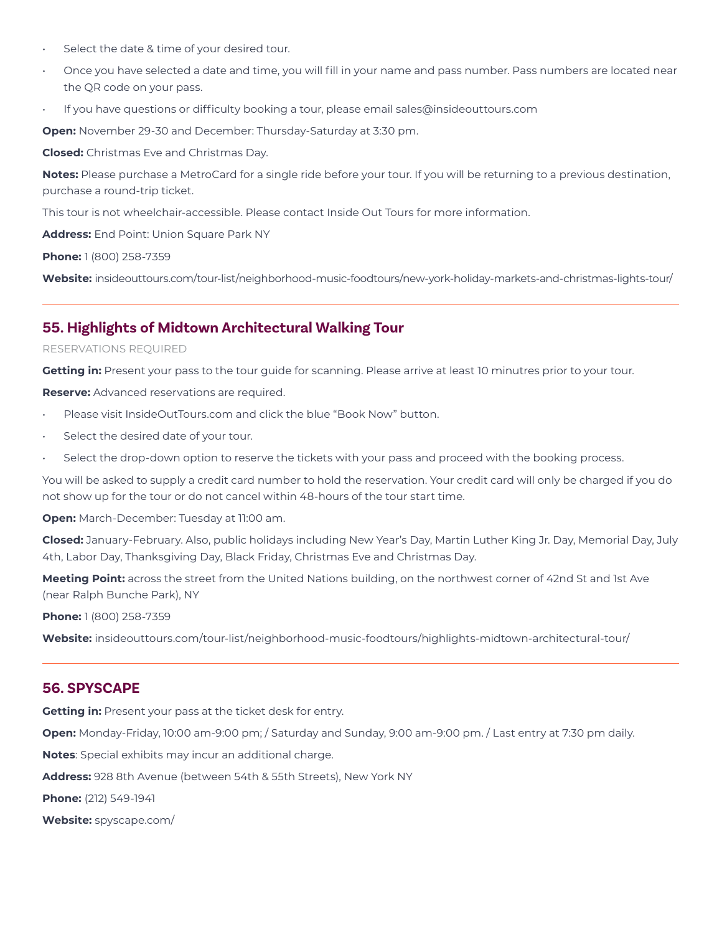- Select the date & time of your desired tour.
- Once you have selected a date and time, you will fill in your name and pass number. Pass numbers are located near the QR code on your pass.
- If you have questions or difficulty booking a tour, please email sales@insideouttours.com

**Open:** November 29-30 and December: Thursday-Saturday at 3:30 pm.

**Closed:** Christmas Eve and Christmas Day.

**Notes:** Please purchase a MetroCard for a single ride before your tour. If you will be returning to a previous destination, purchase a round-trip ticket.

This tour is not wheelchair-accessible. Please contact Inside Out Tours for more information.

**Address:** End Point: Union Square Park NY

**Phone:** 1 (800) 258-7359

**Website:** insideouttours.com/tour-list/neighborhood-music-foodtours/new-york-holiday-markets-and-christmas-lights-tour/

### **55. Highlights of Midtown Architectural Walking Tour**

#### RESERVATIONS REQUIRED

**Getting in:** Present your pass to the tour guide for scanning. Please arrive at least 10 minutres prior to your tour.

**Reserve:** Advanced reservations are required.

- Please visit InsideOutTours.com and click the blue "Book Now" button.
- Select the desired date of your tour.
- Select the drop-down option to reserve the tickets with your pass and proceed with the booking process.

You will be asked to supply a credit card number to hold the reservation. Your credit card will only be charged if you do not show up for the tour or do not cancel within 48-hours of the tour start time.

**Open:** March-December: Tuesday at 11:00 am.

**Closed:** January-February. Also, public holidays including New Year's Day, Martin Luther King Jr. Day, Memorial Day, July 4th, Labor Day, Thanksgiving Day, Black Friday, Christmas Eve and Christmas Day.

**Meeting Point:** across the street from the United Nations building, on the northwest corner of 42nd St and 1st Ave (near Ralph Bunche Park), NY

**Phone:** 1 (800) 258-7359

**Website:** insideouttours.com/tour-list/neighborhood-music-foodtours/highlights-midtown-architectural-tour/

### **56. SPYSCAPE**

**Getting in:** Present your pass at the ticket desk for entry.

**Open:** Monday-Friday, 10:00 am-9:00 pm; / Saturday and Sunday, 9:00 am-9:00 pm. / Last entry at 7:30 pm daily.

**Notes**: Special exhibits may incur an additional charge.

**Address:** 928 8th Avenue (between 54th & 55th Streets), New York NY

**Phone:** (212) 549-1941

**Website:** spyscape.com/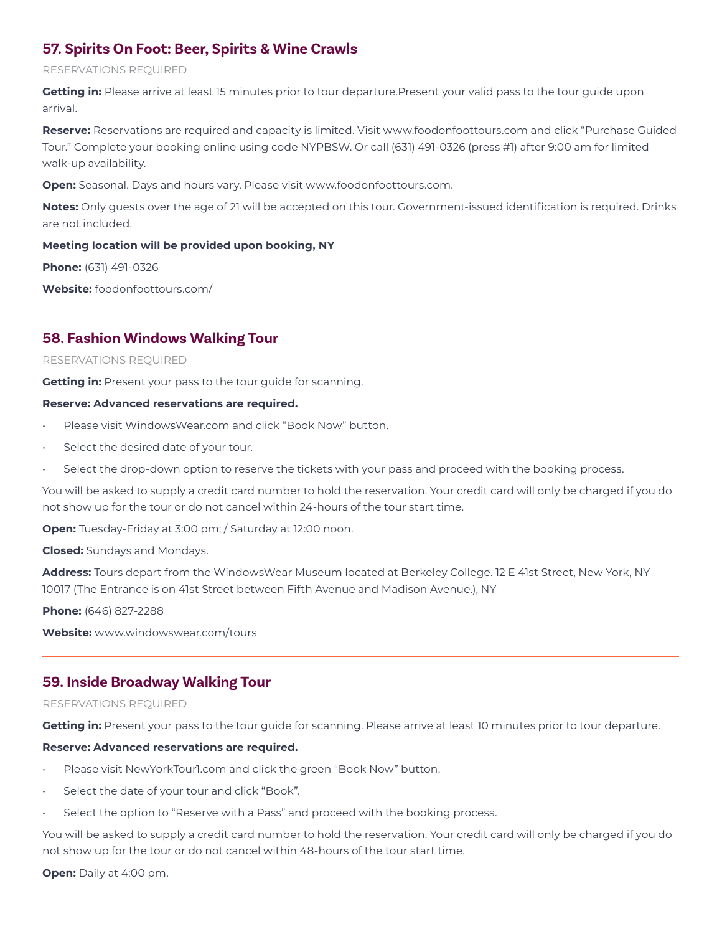## **57. Spirits On Foot: Beer, Spirits & Wine Crawls**

### RESERVATIONS REQUIRED

Getting in: Please arrive at least 15 minutes prior to tour departure.Present your valid pass to the tour guide upon arrival.

**Reserve:** Reservations are required and capacity is limited. Visit www.foodonfoottours.com and click "Purchase Guided Tour." Complete your booking online using code NYPBSW. Or call (631) 491-0326 (press #1) after 9:00 am for limited walk-up availability.

**Open:** Seasonal. Days and hours vary. Please visit www.foodonfoottours.com.

**Notes:** Only guests over the age of 21 will be accepted on this tour. Government-issued identification is required. Drinks are not included.

### **Meeting location will be provided upon booking, NY**

**Phone:** (631) 491-0326

**Website:** foodonfoottours.com/

## **58. Fashion Windows Walking Tour**

### RESERVATIONS REQUIRED

**Getting in:** Present your pass to the tour guide for scanning.

#### **Reserve: Advanced reservations are required.**

- Please visit WindowsWear.com and click "Book Now" button.
- Select the desired date of your tour.
- Select the drop-down option to reserve the tickets with your pass and proceed with the booking process.

You will be asked to supply a credit card number to hold the reservation. Your credit card will only be charged if you do not show up for the tour or do not cancel within 24-hours of the tour start time.

**Open:** Tuesday-Friday at 3:00 pm; / Saturday at 12:00 noon.

**Closed:** Sundays and Mondays.

**Address:** Tours depart from the WindowsWear Museum located at Berkeley College. 12 E 41st Street, New York, NY 10017 (The Entrance is on 41st Street between Fifth Avenue and Madison Avenue.), NY

**Phone:** (646) 827-2288

**Website:** www.windowswear.com/tours

## **59. Inside Broadway Walking Tour**

### RESERVATIONS REQUIRED

**Getting in:** Present your pass to the tour guide for scanning. Please arrive at least 10 minutes prior to tour departure.

### **Reserve: Advanced reservations are required.**

- Please visit NewYorkTour1.com and click the green "Book Now" button.
- Select the date of your tour and click "Book".
- Select the option to "Reserve with a Pass" and proceed with the booking process.

You will be asked to supply a credit card number to hold the reservation. Your credit card will only be charged if you do not show up for the tour or do not cancel within 48-hours of the tour start time.

**Open:** Daily at 4:00 pm.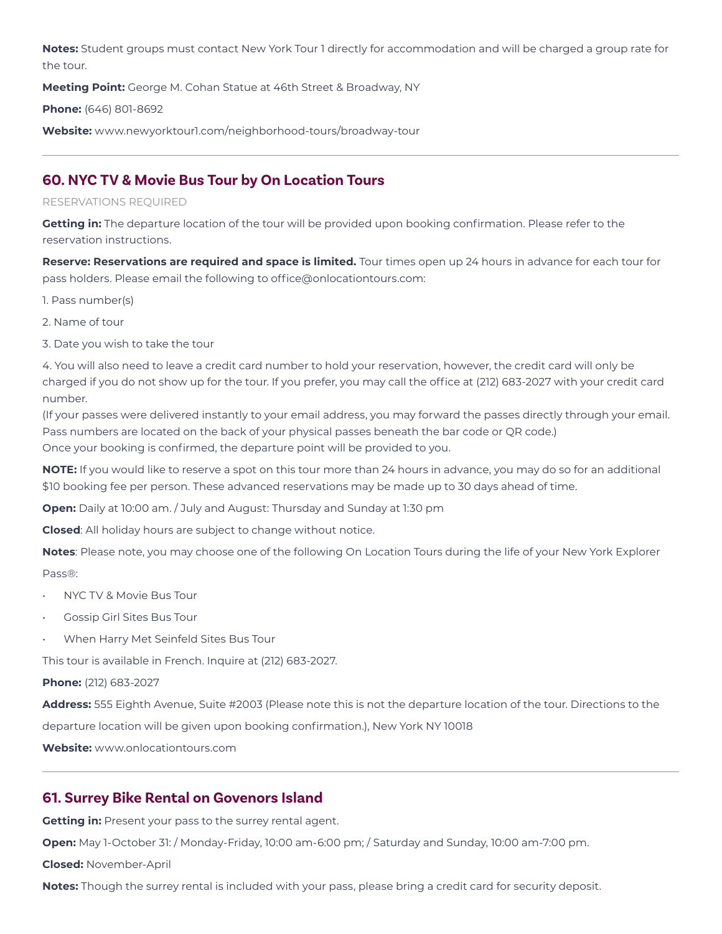**Notes:** Student groups must contact New York Tour 1 directly for accommodation and will be charged a group rate for the tour.

**Meeting Point:** George M. Cohan Statue at 46th Street & Broadway, NY

**Phone:** (646) 801-8692

**Website:** www.newyorktour1.com/neighborhood-tours/broadway-tour

# **60. NYC TV & Movie Bus Tour by On Location Tours**

### RESERVATIONS REQUIRED

**Getting in:** The departure location of the tour will be provided upon booking confirmation. Please refer to the reservation instructions.

**Reserve: Reservations are required and space is limited.** Tour times open up 24 hours in advance for each tour for pass holders. Please email the following to office@onlocationtours.com:

- 1. Pass number(s)
- 2. Name of tour
- 3. Date you wish to take the tour

4. You will also need to leave a credit card number to hold your reservation, however, the credit card will only be charged if you do not show up for the tour. If you prefer, you may call the office at (212) 683-2027 with your credit card number.

(If your passes were delivered instantly to your email address, you may forward the passes directly through your email. Pass numbers are located on the back of your physical passes beneath the bar code or QR code.) Once your booking is confirmed, the departure point will be provided to you.

**NOTE:** If you would like to reserve a spot on this tour more than 24 hours in advance, you may do so for an additional \$10 booking fee per person. These advanced reservations may be made up to 30 days ahead of time.

**Open:** Daily at 10:00 am. / July and August: Thursday and Sunday at 1:30 pm

**Closed**: All holiday hours are subject to change without notice.

**Notes**: Please note, you may choose one of the following On Location Tours during the life of your New York Explorer Pass®:

- NYC TV & Movie Bus Tour
- Gossip Girl Sites Bus Tour
- When Harry Met Seinfeld Sites Bus Tour

This tour is available in French. Inquire at (212) 683-2027.

### **Phone:** (212) 683-2027

**Address:** 555 Eighth Avenue, Suite #2003 (Please note this is not the departure location of the tour. Directions to the

departure location will be given upon booking confirmation.), New York NY 10018

**Website:** www.onlocationtours.com

## **61. Surrey Bike Rental on Govenors Island**

**Getting in:** Present your pass to the surrey rental agent.

**Open:** May 1-October 31: / Monday-Friday, 10:00 am-6:00 pm; / Saturday and Sunday, 10:00 am-7:00 pm.

**Closed:** November-April

**Notes:** Though the surrey rental is included with your pass, please bring a credit card for security deposit.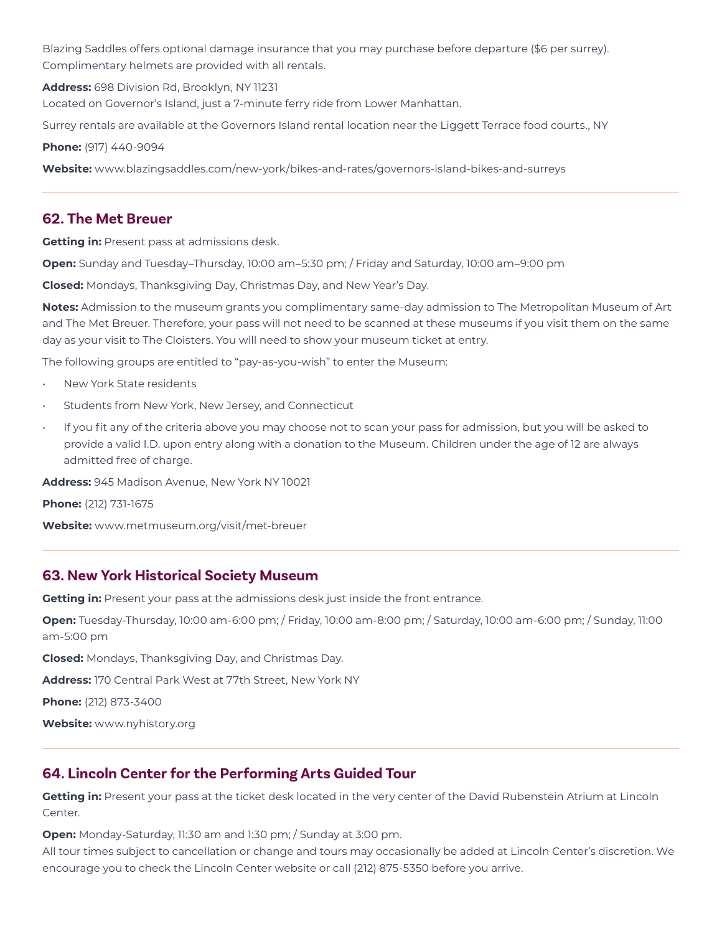Blazing Saddles offers optional damage insurance that you may purchase before departure (\$6 per surrey). Complimentary helmets are provided with all rentals.

**Address:** 698 Division Rd, Brooklyn, NY 11231

Located on Governor's Island, just a 7-minute ferry ride from Lower Manhattan.

Surrey rentals are available at the Governors Island rental location near the Liggett Terrace food courts., NY

**Phone:** (917) 440-9094

**Website:** www.blazingsaddles.com/new-york/bikes-and-rates/governors-island-bikes-and-surreys

### **62. The Met Breuer**

**Getting in:** Present pass at admissions desk.

**Open:** Sunday and Tuesday–Thursday, 10:00 am–5:30 pm; / Friday and Saturday, 10:00 am–9:00 pm

**Closed:** Mondays, Thanksgiving Day, Christmas Day, and New Year's Day.

**Notes:** Admission to the museum grants you complimentary same-day admission to The Metropolitan Museum of Art and The Met Breuer. Therefore, your pass will not need to be scanned at these museums if you visit them on the same day as your visit to The Cloisters. You will need to show your museum ticket at entry.

The following groups are entitled to "pay-as-you-wish" to enter the Museum:

- New York State residents
- Students from New York, New Jersey, and Connecticut
- If you fit any of the criteria above you may choose not to scan your pass for admission, but you will be asked to provide a valid I.D. upon entry along with a donation to the Museum. Children under the age of 12 are always admitted free of charge.

**Address:** 945 Madison Avenue, New York NY 10021

**Phone:** (212) 731-1675

**Website:** www.metmuseum.org/visit/met-breuer

### **63. New York Historical Society Museum**

**Getting in:** Present your pass at the admissions desk just inside the front entrance.

**Open:** Tuesday-Thursday, 10:00 am-6:00 pm; / Friday, 10:00 am-8:00 pm; / Saturday, 10:00 am-6:00 pm; / Sunday, 11:00 am-5:00 pm

**Closed:** Mondays, Thanksgiving Day, and Christmas Day.

**Address:** 170 Central Park West at 77th Street, New York NY

**Phone:** (212) 873-3400

**Website:** www.nyhistory.org

## **64. Lincoln Center for the Performing Arts Guided Tour**

**Getting in:** Present your pass at the ticket desk located in the very center of the David Rubenstein Atrium at Lincoln Center.

**Open:** Monday-Saturday, 11:30 am and 1:30 pm; / Sunday at 3:00 pm.

All tour times subject to cancellation or change and tours may occasionally be added at Lincoln Center's discretion. We encourage you to check the Lincoln Center website or call (212) 875-5350 before you arrive.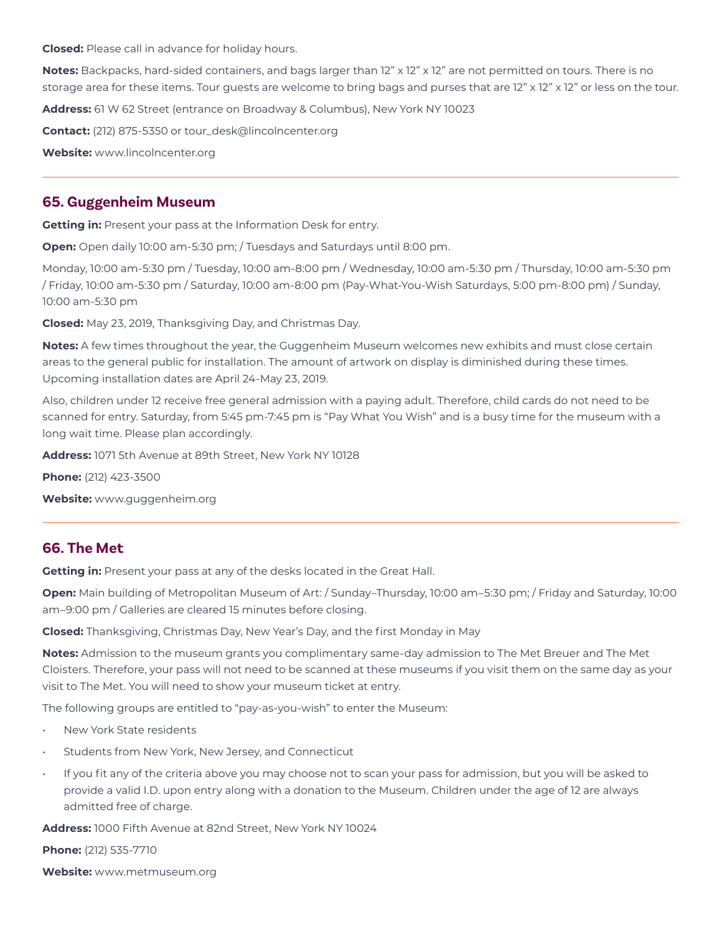**Closed:** Please call in advance for holiday hours.

**Notes:** Backpacks, hard-sided containers, and bags larger than 12" x 12" x 12" are not permitted on tours. There is no storage area for these items. Tour guests are welcome to bring bags and purses that are 12" x 12" x 12" or less on the tour. **Address:** 61 W 62 Street (entrance on Broadway & Columbus), New York NY 10023 **Contact:** (212) 875-5350 or tour\_desk@lincolncenter.org

**Website:** www.lincolncenter.org

### **65. Guggenheim Museum**

**Getting in:** Present your pass at the Information Desk for entry.

**Open:** Open daily 10:00 am-5:30 pm; / Tuesdays and Saturdays until 8:00 pm.

Monday, 10:00 am-5:30 pm / Tuesday, 10:00 am-8:00 pm / Wednesday, 10:00 am-5:30 pm / Thursday, 10:00 am-5:30 pm / Friday, 10:00 am-5:30 pm / Saturday, 10:00 am-8:00 pm (Pay-What-You-Wish Saturdays, 5:00 pm-8:00 pm) / Sunday, 10:00 am-5:30 pm

**Closed:** May 23, 2019, Thanksgiving Day, and Christmas Day.

**Notes:** A few times throughout the year, the Guggenheim Museum welcomes new exhibits and must close certain areas to the general public for installation. The amount of artwork on display is diminished during these times. Upcoming installation dates are April 24-May 23, 2019.

Also, children under 12 receive free general admission with a paying adult. Therefore, child cards do not need to be scanned for entry. Saturday, from 5:45 pm-7:45 pm is "Pay What You Wish" and is a busy time for the museum with a long wait time. Please plan accordingly.

**Address:** 1071 5th Avenue at 89th Street, New York NY 10128

**Phone:** (212) 423-3500

**Website:** www.guggenheim.org

### **66. The Met**

**Getting in:** Present your pass at any of the desks located in the Great Hall.

**Open:** Main building of Metropolitan Museum of Art: / Sunday–Thursday, 10:00 am–5:30 pm; / Friday and Saturday, 10:00 am–9:00 pm / Galleries are cleared 15 minutes before closing.

**Closed:** Thanksgiving, Christmas Day, New Year's Day, and the first Monday in May

**Notes:** Admission to the museum grants you complimentary same-day admission to The Met Breuer and The Met Cloisters. Therefore, your pass will not need to be scanned at these museums if you visit them on the same day as your visit to The Met. You will need to show your museum ticket at entry.

The following groups are entitled to "pay-as-you-wish" to enter the Museum:

- New York State residents
- Students from New York, New Jersey, and Connecticut
- If you fit any of the criteria above you may choose not to scan your pass for admission, but you will be asked to provide a valid I.D. upon entry along with a donation to the Museum. Children under the age of 12 are always admitted free of charge.

**Address:** 1000 Fifth Avenue at 82nd Street, New York NY 10024

**Phone:** (212) 535-7710

**Website:** www.metmuseum.org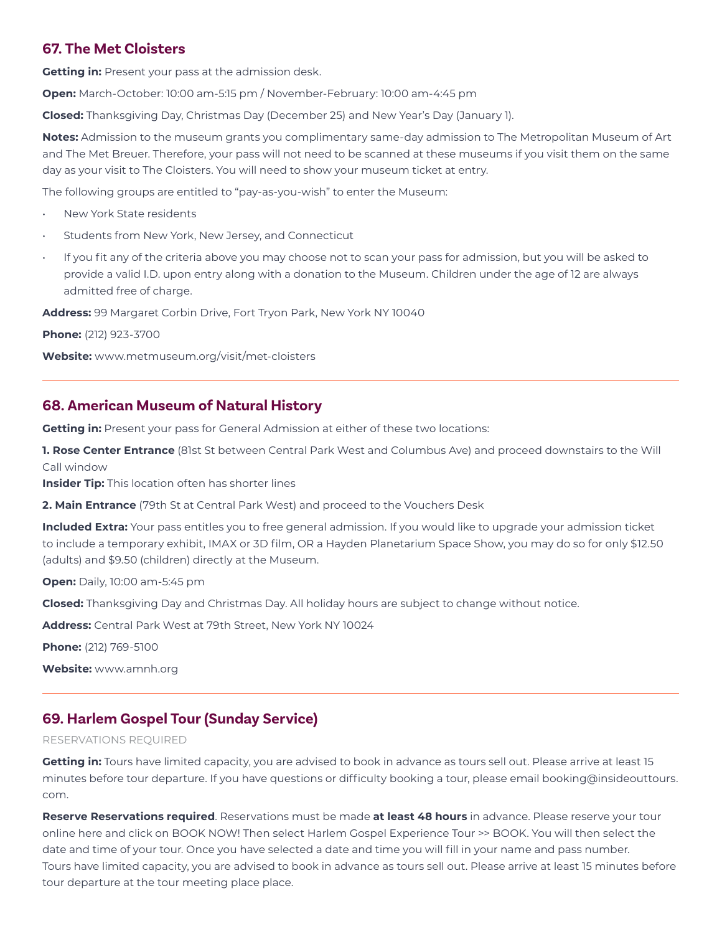## **67. The Met Cloisters**

**Getting in:** Present your pass at the admission desk.

**Open:** March-October: 10:00 am-5:15 pm / November-February: 10:00 am-4:45 pm

**Closed:** Thanksgiving Day, Christmas Day (December 25) and New Year's Day (January 1).

**Notes:** Admission to the museum grants you complimentary same-day admission to The Metropolitan Museum of Art and The Met Breuer. Therefore, your pass will not need to be scanned at these museums if you visit them on the same day as your visit to The Cloisters. You will need to show your museum ticket at entry.

The following groups are entitled to "pay-as-you-wish" to enter the Museum:

- New York State residents
- Students from New York, New Jersey, and Connecticut
- If you fit any of the criteria above you may choose not to scan your pass for admission, but you will be asked to provide a valid I.D. upon entry along with a donation to the Museum. Children under the age of 12 are always admitted free of charge.

**Address:** 99 Margaret Corbin Drive, Fort Tryon Park, New York NY 10040

**Phone:** (212) 923-3700

**Website:** www.metmuseum.org/visit/met-cloisters

# **68. American Museum of Natural History**

**Getting in:** Present your pass for General Admission at either of these two locations:

**1. Rose Center Entrance** (81st St between Central Park West and Columbus Ave) and proceed downstairs to the Will Call window

**Insider Tip:** This location often has shorter lines

**2. Main Entrance** (79th St at Central Park West) and proceed to the Vouchers Desk

**Included Extra:** Your pass entitles you to free general admission. If you would like to upgrade your admission ticket to include a temporary exhibit, IMAX or 3D film, OR a Hayden Planetarium Space Show, you may do so for only \$12.50 (adults) and \$9.50 (children) directly at the Museum.

**Open:** Daily, 10:00 am-5:45 pm

**Closed:** Thanksgiving Day and Christmas Day. All holiday hours are subject to change without notice.

**Address:** Central Park West at 79th Street, New York NY 10024

**Phone:** (212) 769-5100

**Website:** www.amnh.org

# **69. Harlem Gospel Tour (Sunday Service)**

### RESERVATIONS REQUIRED

**Getting in:** Tours have limited capacity, you are advised to book in advance as tours sell out. Please arrive at least 15 minutes before tour departure. If you have questions or difficulty booking a tour, please email booking@insideouttours. com.

**Reserve Reservations required**. Reservations must be made **at least 48 hours** in advance. Please reserve your tour online here and click on BOOK NOW! Then select Harlem Gospel Experience Tour >> BOOK. You will then select the date and time of your tour. Once you have selected a date and time you will fill in your name and pass number. Tours have limited capacity, you are advised to book in advance as tours sell out. Please arrive at least 15 minutes before tour departure at the tour meeting place place.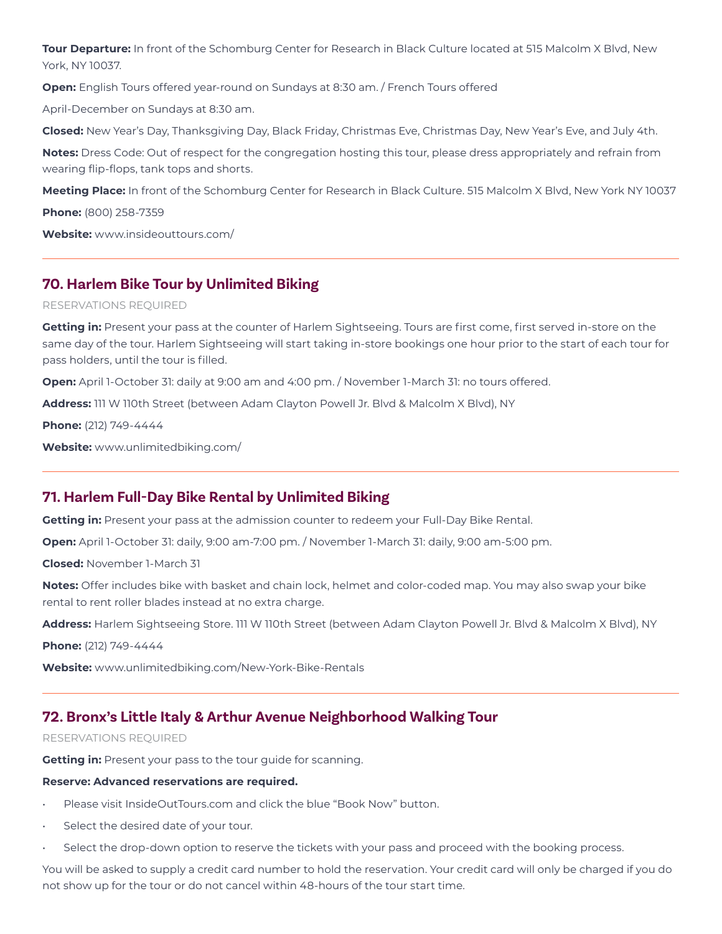**Tour Departure:** In front of the Schomburg Center for Research in Black Culture located at 515 Malcolm X Blvd, New York, NY 10037.

**Open:** English Tours offered year-round on Sundays at 8:30 am. / French Tours offered

April-December on Sundays at 8:30 am.

**Closed:** New Year's Day, Thanksgiving Day, Black Friday, Christmas Eve, Christmas Day, New Year's Eve, and July 4th.

**Notes:** Dress Code: Out of respect for the congregation hosting this tour, please dress appropriately and refrain from wearing flip-flops, tank tops and shorts.

**Meeting Place:** In front of the Schomburg Center for Research in Black Culture. 515 Malcolm X Blvd, New York NY 10037

**Phone:** (800) 258-7359

**Website:** www.insideouttours.com/

## **70. Harlem Bike Tour by Unlimited Biking**

#### RESERVATIONS REQUIRED

**Getting in:** Present your pass at the counter of Harlem Sightseeing. Tours are first come, first served in-store on the same day of the tour. Harlem Sightseeing will start taking in-store bookings one hour prior to the start of each tour for pass holders, until the tour is filled.

**Open:** April 1-October 31: daily at 9:00 am and 4:00 pm. / November 1-March 31: no tours offered.

**Address:** 111 W 110th Street (between Adam Clayton Powell Jr. Blvd & Malcolm X Blvd), NY

**Phone:** (212) 749-4444

**Website:** www.unlimitedbiking.com/

### **71. Harlem Full-Day Bike Rental by Unlimited Biking**

**Getting in:** Present your pass at the admission counter to redeem your Full-Day Bike Rental.

**Open:** April 1-October 31: daily, 9:00 am-7:00 pm. / November 1-March 31: daily, 9:00 am-5:00 pm.

**Closed:** November 1-March 31

**Notes:** Offer includes bike with basket and chain lock, helmet and color-coded map. You may also swap your bike rental to rent roller blades instead at no extra charge.

**Address:** Harlem Sightseeing Store. 111 W 110th Street (between Adam Clayton Powell Jr. Blvd & Malcolm X Blvd), NY

**Phone:** (212) 749-4444

**Website:** www.unlimitedbiking.com/New-York-Bike-Rentals

## **72. Bronx's Little Italy & Arthur Avenue Neighborhood Walking Tour**

#### RESERVATIONS REQUIRED

**Getting in:** Present your pass to the tour guide for scanning.

#### **Reserve: Advanced reservations are required.**

- Please visit InsideOutTours.com and click the blue "Book Now" button.
- Select the desired date of your tour.
- Select the drop-down option to reserve the tickets with your pass and proceed with the booking process.

You will be asked to supply a credit card number to hold the reservation. Your credit card will only be charged if you do not show up for the tour or do not cancel within 48-hours of the tour start time.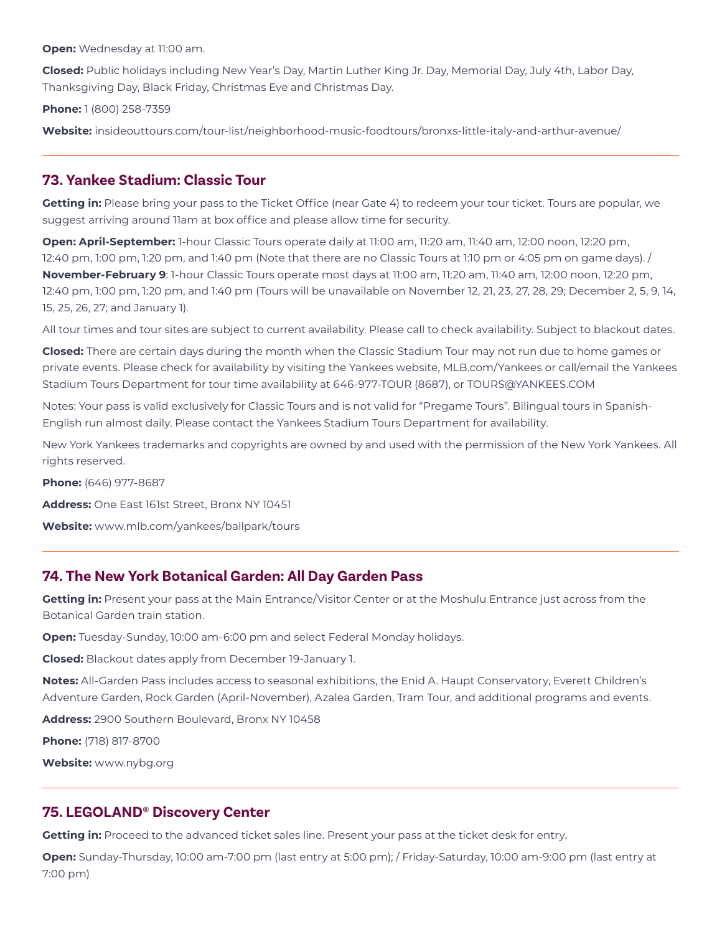**Open:** Wednesday at 11:00 am.

**Closed:** Public holidays including New Year's Day, Martin Luther King Jr. Day, Memorial Day, July 4th, Labor Day, Thanksgiving Day, Black Friday, Christmas Eve and Christmas Day.

**Phone:** 1 (800) 258-7359

**Website:** insideouttours.com/tour-list/neighborhood-music-foodtours/bronxs-little-italy-and-arthur-avenue/

### **73. Yankee Stadium: Classic Tour**

**Getting in:** Please bring your pass to the Ticket Office (near Gate 4) to redeem your tour ticket. Tours are popular, we suggest arriving around 11am at box office and please allow time for security.

**Open: April-September:** 1-hour Classic Tours operate daily at 11:00 am, 11:20 am, 11:40 am, 12:00 noon, 12:20 pm, 12:40 pm, 1:00 pm, 1:20 pm, and 1:40 pm (Note that there are no Classic Tours at 1:10 pm or 4:05 pm on game days). / **November-February 9**: 1-hour Classic Tours operate most days at 11:00 am, 11:20 am, 11:40 am, 12:00 noon, 12:20 pm, 12:40 pm, 1:00 pm, 1:20 pm, and 1:40 pm (Tours will be unavailable on November 12, 21, 23, 27, 28, 29; December 2, 5, 9, 14, 15, 25, 26, 27; and January 1).

All tour times and tour sites are subject to current availability. Please call to check availability. Subject to blackout dates.

**Closed:** There are certain days during the month when the Classic Stadium Tour may not run due to home games or private events. Please check for availability by visiting the Yankees website, MLB.com/Yankees or call/email the Yankees Stadium Tours Department for tour time availability at 646-977-TOUR (8687), or TOURS@YANKEES.COM

Notes: Your pass is valid exclusively for Classic Tours and is not valid for "Pregame Tours". Bilingual tours in Spanish-English run almost daily. Please contact the Yankees Stadium Tours Department for availability.

New York Yankees trademarks and copyrights are owned by and used with the permission of the New York Yankees. All rights reserved.

**Phone:** (646) 977-8687

**Address:** One East 161st Street, Bronx NY 10451

**Website:** www.mlb.com/yankees/ballpark/tours

## **74. The New York Botanical Garden: All Day Garden Pass**

**Getting in:** Present your pass at the Main Entrance/Visitor Center or at the Moshulu Entrance just across from the Botanical Garden train station.

**Open:** Tuesday-Sunday, 10:00 am-6:00 pm and select Federal Monday holidays.

**Closed:** Blackout dates apply from December 19-January 1.

**Notes:** All-Garden Pass includes access to seasonal exhibitions, the Enid A. Haupt Conservatory, Everett Children's Adventure Garden, Rock Garden (April-November), Azalea Garden, Tram Tour, and additional programs and events.

**Address:** 2900 Southern Boulevard, Bronx NY 10458

**Phone:** (718) 817-8700

**Website:** www.nybg.org

### **75. LEGOLAND® Discovery Center**

**Getting in:** Proceed to the advanced ticket sales line. Present your pass at the ticket desk for entry.

**Open:** Sunday-Thursday, 10:00 am-7:00 pm (last entry at 5:00 pm); / Friday-Saturday, 10:00 am-9:00 pm (last entry at 7:00 pm)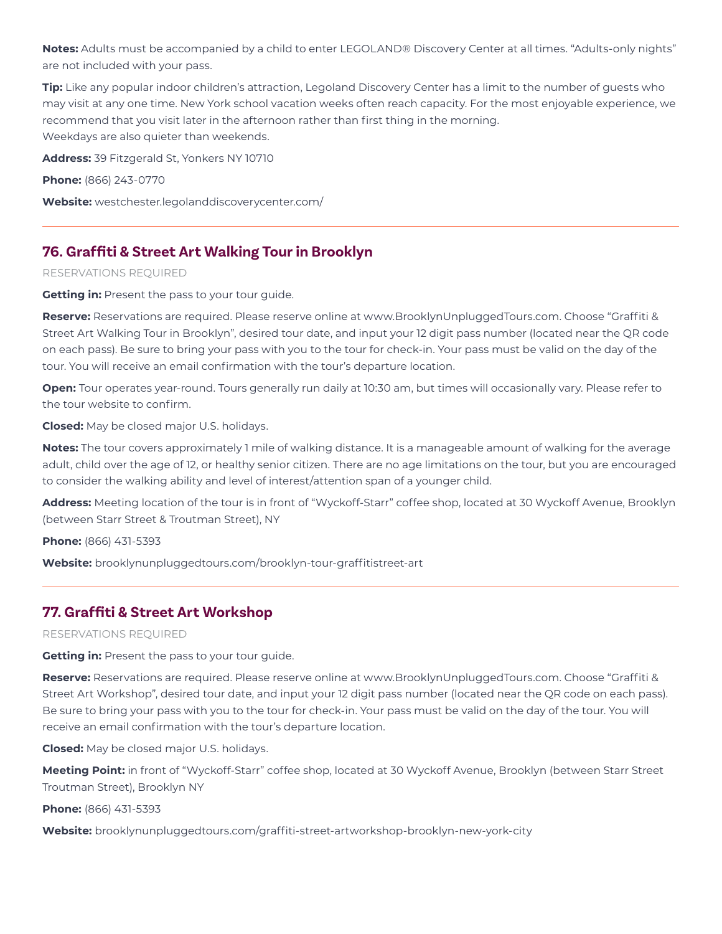**Notes:** Adults must be accompanied by a child to enter LEGOLAND® Discovery Center at all times. "Adults-only nights" are not included with your pass.

**Tip:** Like any popular indoor children's attraction, Legoland Discovery Center has a limit to the number of guests who may visit at any one time. New York school vacation weeks often reach capacity. For the most enjoyable experience, we recommend that you visit later in the afternoon rather than first thing in the morning. Weekdays are also quieter than weekends.

**Address:** 39 Fitzgerald St, Yonkers NY 10710

**Phone:** (866) 243-0770

**Website:** westchester.legolanddiscoverycenter.com/

# **76. Graffiti & Street Art Walking Tour in Brooklyn**

RESERVATIONS REQUIRED

**Getting in:** Present the pass to your tour guide.

**Reserve:** Reservations are required. Please reserve online at www.BrooklynUnpluggedTours.com. Choose "Graffiti & Street Art Walking Tour in Brooklyn", desired tour date, and input your 12 digit pass number (located near the QR code on each pass). Be sure to bring your pass with you to the tour for check-in. Your pass must be valid on the day of the tour. You will receive an email confirmation with the tour's departure location.

**Open:** Tour operates year-round. Tours generally run daily at 10:30 am, but times will occasionally vary. Please refer to the tour website to confirm.

**Closed:** May be closed major U.S. holidays.

**Notes:** The tour covers approximately 1 mile of walking distance. It is a manageable amount of walking for the average adult, child over the age of 12, or healthy senior citizen. There are no age limitations on the tour, but you are encouraged to consider the walking ability and level of interest/attention span of a younger child.

**Address:** Meeting location of the tour is in front of "Wyckoff-Starr" coffee shop, located at 30 Wyckoff Avenue, Brooklyn (between Starr Street & Troutman Street), NY

**Phone:** (866) 431-5393

**Website:** brooklynunpluggedtours.com/brooklyn-tour-graffitistreet-art

## **77. Graffiti & Street Art Workshop**

RESERVATIONS REQUIRED

**Getting in:** Present the pass to your tour guide.

**Reserve:** Reservations are required. Please reserve online at www.BrooklynUnpluggedTours.com. Choose "Graffiti & Street Art Workshop", desired tour date, and input your 12 digit pass number (located near the QR code on each pass). Be sure to bring your pass with you to the tour for check-in. Your pass must be valid on the day of the tour. You will receive an email confirmation with the tour's departure location.

**Closed:** May be closed major U.S. holidays.

**Meeting Point:** in front of "Wyckoff-Starr" coffee shop, located at 30 Wyckoff Avenue, Brooklyn (between Starr Street Troutman Street), Brooklyn NY

**Phone:** (866) 431-5393

**Website:** brooklynunpluggedtours.com/graffiti-street-artworkshop-brooklyn-new-york-city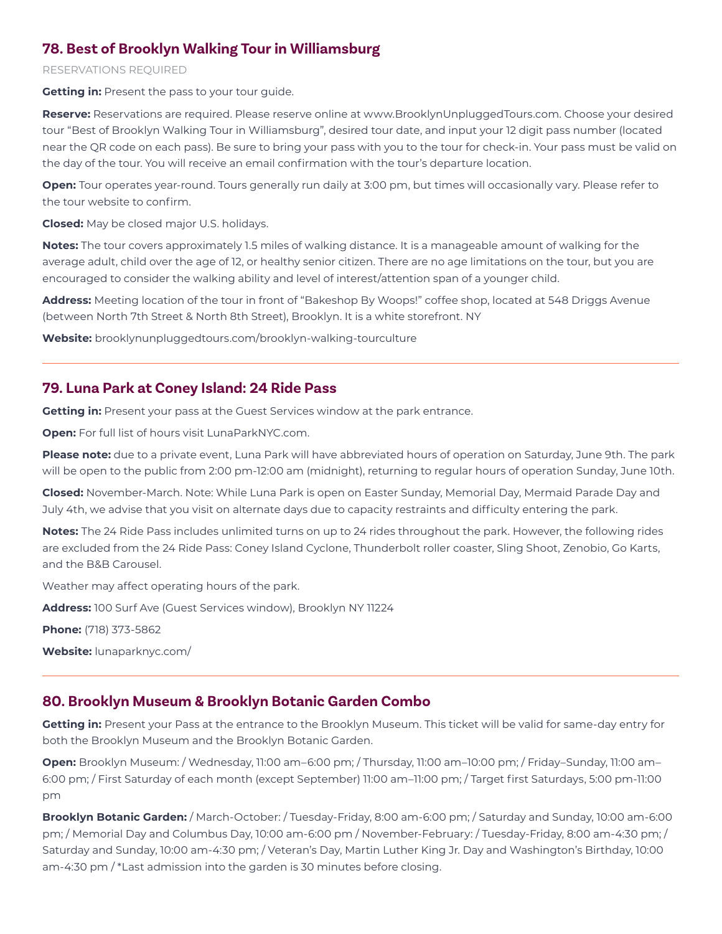## **78. Best of Brooklyn Walking Tour in Williamsburg**

### RESERVATIONS REQUIRED

**Getting in:** Present the pass to your tour guide.

**Reserve:** Reservations are required. Please reserve online at www.BrooklynUnpluggedTours.com. Choose your desired tour "Best of Brooklyn Walking Tour in Williamsburg", desired tour date, and input your 12 digit pass number (located near the QR code on each pass). Be sure to bring your pass with you to the tour for check-in. Your pass must be valid on the day of the tour. You will receive an email confirmation with the tour's departure location.

**Open:** Tour operates year-round. Tours generally run daily at 3:00 pm, but times will occasionally vary. Please refer to the tour website to confirm.

**Closed:** May be closed major U.S. holidays.

**Notes:** The tour covers approximately 1.5 miles of walking distance. It is a manageable amount of walking for the average adult, child over the age of 12, or healthy senior citizen. There are no age limitations on the tour, but you are encouraged to consider the walking ability and level of interest/attention span of a younger child.

**Address:** Meeting location of the tour in front of "Bakeshop By Woops!" coffee shop, located at 548 Driggs Avenue (between North 7th Street & North 8th Street), Brooklyn. It is a white storefront. NY

**Website:** brooklynunpluggedtours.com/brooklyn-walking-tourculture

## **79. Luna Park at Coney Island: 24 Ride Pass**

**Getting in:** Present your pass at the Guest Services window at the park entrance.

**Open:** For full list of hours visit LunaParkNYC.com.

**Please note:** due to a private event, Luna Park will have abbreviated hours of operation on Saturday, June 9th. The park will be open to the public from 2:00 pm-12:00 am (midnight), returning to regular hours of operation Sunday, June 10th.

**Closed:** November-March. Note: While Luna Park is open on Easter Sunday, Memorial Day, Mermaid Parade Day and July 4th, we advise that you visit on alternate days due to capacity restraints and difficulty entering the park.

**Notes:** The 24 Ride Pass includes unlimited turns on up to 24 rides throughout the park. However, the following rides are excluded from the 24 Ride Pass: Coney Island Cyclone, Thunderbolt roller coaster, Sling Shoot, Zenobio, Go Karts, and the B&B Carousel.

Weather may affect operating hours of the park.

**Address:** 100 Surf Ave (Guest Services window), Brooklyn NY 11224

**Phone:** (718) 373-5862

**Website:** lunaparknyc.com/

### **80. Brooklyn Museum & Brooklyn Botanic Garden Combo**

**Getting in:** Present your Pass at the entrance to the Brooklyn Museum. This ticket will be valid for same-day entry for both the Brooklyn Museum and the Brooklyn Botanic Garden.

**Open:** Brooklyn Museum: / Wednesday, 11:00 am–6:00 pm; / Thursday, 11:00 am–10:00 pm; / Friday–Sunday, 11:00 am– 6:00 pm; / First Saturday of each month (except September) 11:00 am–11:00 pm; / Target first Saturdays, 5:00 pm-11:00 pm

**Brooklyn Botanic Garden:** / March-October: / Tuesday-Friday, 8:00 am-6:00 pm; / Saturday and Sunday, 10:00 am-6:00 pm; / Memorial Day and Columbus Day, 10:00 am-6:00 pm / November-February: / Tuesday-Friday, 8:00 am-4:30 pm; / Saturday and Sunday, 10:00 am-4:30 pm; / Veteran's Day, Martin Luther King Jr. Day and Washington's Birthday, 10:00 am-4:30 pm /\*Last admission into the garden is 30 minutes before closing.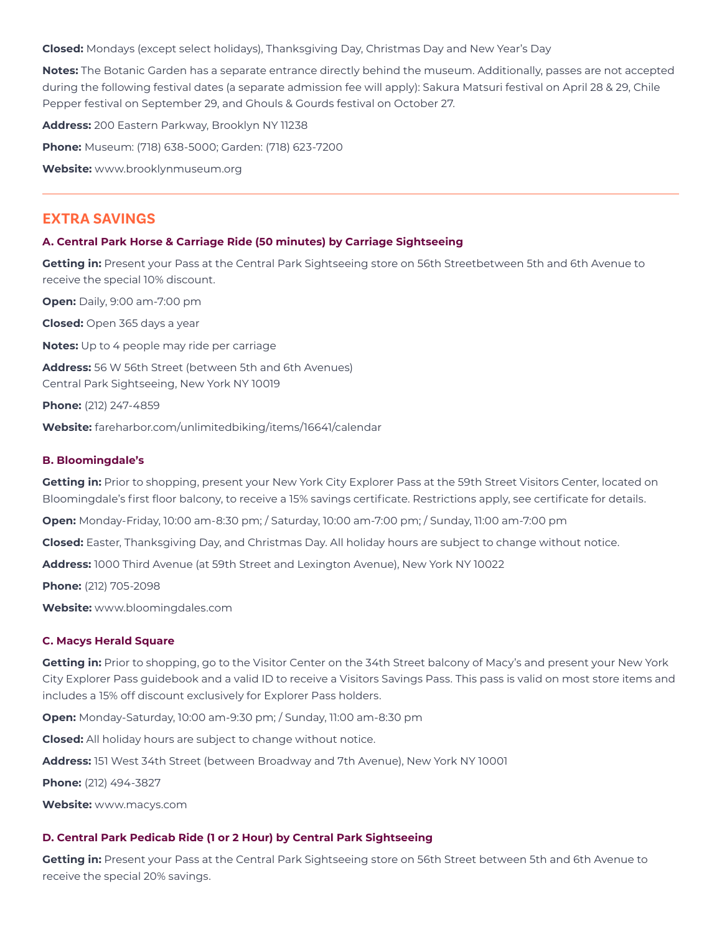**Closed:** Mondays (except select holidays), Thanksgiving Day, Christmas Day and New Year's Day

**Notes:** The Botanic Garden has a separate entrance directly behind the museum. Additionally, passes are not accepted during the following festival dates (a separate admission fee will apply): Sakura Matsuri festival on April 28 & 29, Chile Pepper festival on September 29, and Ghouls & Gourds festival on October 27.

**Address:** 200 Eastern Parkway, Brooklyn NY 11238

**Phone:** Museum: (718) 638-5000; Garden: (718) 623-7200

**Website:** www.brooklynmuseum.org

### **EXTRA SAVINGS**

#### **A. Central Park Horse & Carriage Ride (50 minutes) by Carriage Sightseeing**

**Getting in:** Present your Pass at the Central Park Sightseeing store on 56th Streetbetween 5th and 6th Avenue to receive the special 10% discount.

**Open:** Daily, 9:00 am-7:00 pm **Closed:** Open 365 days a year **Notes:** Up to 4 people may ride per carriage **Address:** 56 W 56th Street (between 5th and 6th Avenues) Central Park Sightseeing, New York NY 10019 **Phone:** (212) 247-4859

**Website:** fareharbor.com/unlimitedbiking/items/16641/calendar

#### **B. Bloomingdale's**

**Getting in:** Prior to shopping, present your New York City Explorer Pass at the 59th Street Visitors Center, located on Bloomingdale's first floor balcony, to receive a 15% savings certificate. Restrictions apply, see certificate for details.

**Open:** Monday-Friday, 10:00 am-8:30 pm; / Saturday, 10:00 am-7:00 pm; / Sunday, 11:00 am-7:00 pm

**Closed:** Easter, Thanksgiving Day, and Christmas Day. All holiday hours are subject to change without notice.

**Address:** 1000 Third Avenue (at 59th Street and Lexington Avenue), New York NY 10022

**Phone:** (212) 705-2098

**Website:** www.bloomingdales.com

#### **C. Macys Herald Square**

**Getting in:** Prior to shopping, go to the Visitor Center on the 34th Street balcony of Macy's and present your New York City Explorer Pass guidebook and a valid ID to receive a Visitors Savings Pass. This pass is valid on most store items and includes a 15% off discount exclusively for Explorer Pass holders.

**Open:** Monday-Saturday, 10:00 am-9:30 pm; / Sunday, 11:00 am-8:30 pm

**Closed:** All holiday hours are subject to change without notice.

**Address:** 151 West 34th Street (between Broadway and 7th Avenue), New York NY 10001

**Phone:** (212) 494-3827

**Website:** www.macys.com

#### **D. Central Park Pedicab Ride (1 or 2 Hour) by Central Park Sightseeing**

**Getting in:** Present your Pass at the Central Park Sightseeing store on 56th Street between 5th and 6th Avenue to receive the special 20% savings.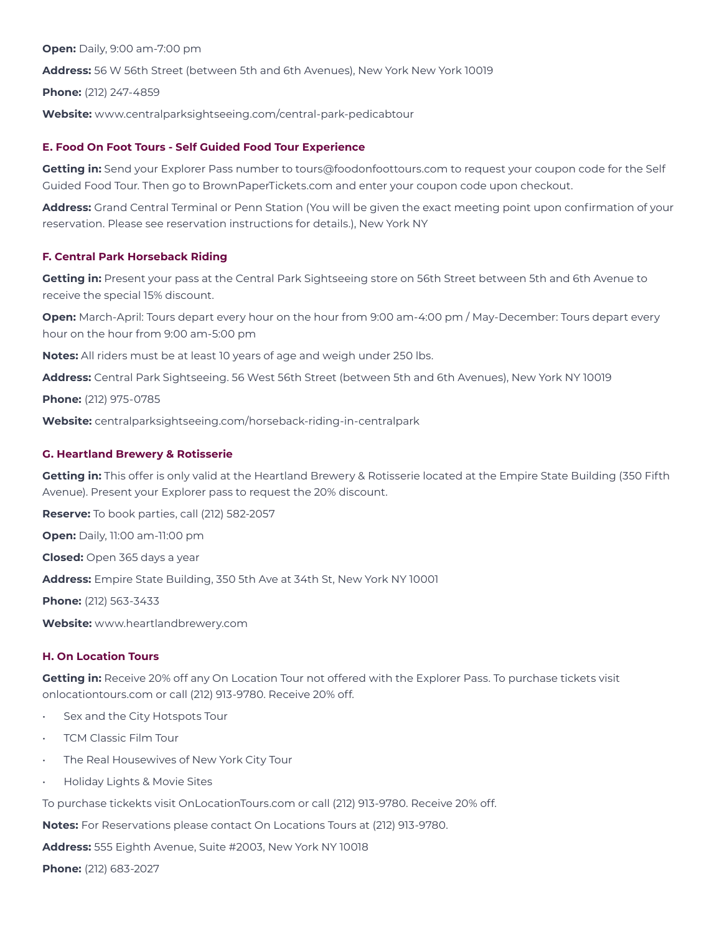**Open:** Daily, 9:00 am-7:00 pm **Address:** 56 W 56th Street (between 5th and 6th Avenues), New York New York 10019 **Phone:** (212) 247-4859 **Website:** www.centralparksightseeing.com/central-park-pedicabtour

### **E. Food On Foot Tours - Self Guided Food Tour Experience**

**Getting in:** Send your Explorer Pass number to tours@foodonfoottours.com to request your coupon code for the Self Guided Food Tour. Then go to BrownPaperTickets.com and enter your coupon code upon checkout.

**Address:** Grand Central Terminal or Penn Station (You will be given the exact meeting point upon confirmation of your reservation. Please see reservation instructions for details.), New York NY

### **F. Central Park Horseback Riding**

**Getting in:** Present your pass at the Central Park Sightseeing store on 56th Street between 5th and 6th Avenue to receive the special 15% discount.

**Open:** March-April: Tours depart every hour on the hour from 9:00 am-4:00 pm / May-December: Tours depart every hour on the hour from 9:00 am-5:00 pm

**Notes:** All riders must be at least 10 years of age and weigh under 250 lbs.

**Address:** Central Park Sightseeing. 56 West 56th Street (between 5th and 6th Avenues), New York NY 10019

**Phone:** (212) 975-0785

**Website:** centralparksightseeing.com/horseback-riding-in-centralpark

### **G. Heartland Brewery & Rotisserie**

**Getting in:** This offer is only valid at the Heartland Brewery & Rotisserie located at the Empire State Building (350 Fifth Avenue). Present your Explorer pass to request the 20% discount.

**Reserve:** To book parties, call (212) 582-2057

**Open:** Daily, 11:00 am-11:00 pm

**Closed:** Open 365 days a year

**Address:** Empire State Building, 350 5th Ave at 34th St, New York NY 10001

**Phone:** (212) 563-3433

**Website:** www.heartlandbrewery.com

### **H. On Location Tours**

**Getting in:** Receive 20% off any On Location Tour not offered with the Explorer Pass. To purchase tickets visit onlocationtours.com or call (212) 913-9780. Receive 20% off.

- Sex and the City Hotspots Tour
- TCM Classic Film Tour
- The Real Housewives of New York City Tour
- Holiday Lights & Movie Sites

To purchase tickekts visit OnLocationTours.com or call (212) 913-9780. Receive 20% off.

**Notes:** For Reservations please contact On Locations Tours at (212) 913-9780.

**Address:** 555 Eighth Avenue, Suite #2003, New York NY 10018

**Phone:** (212) 683-2027